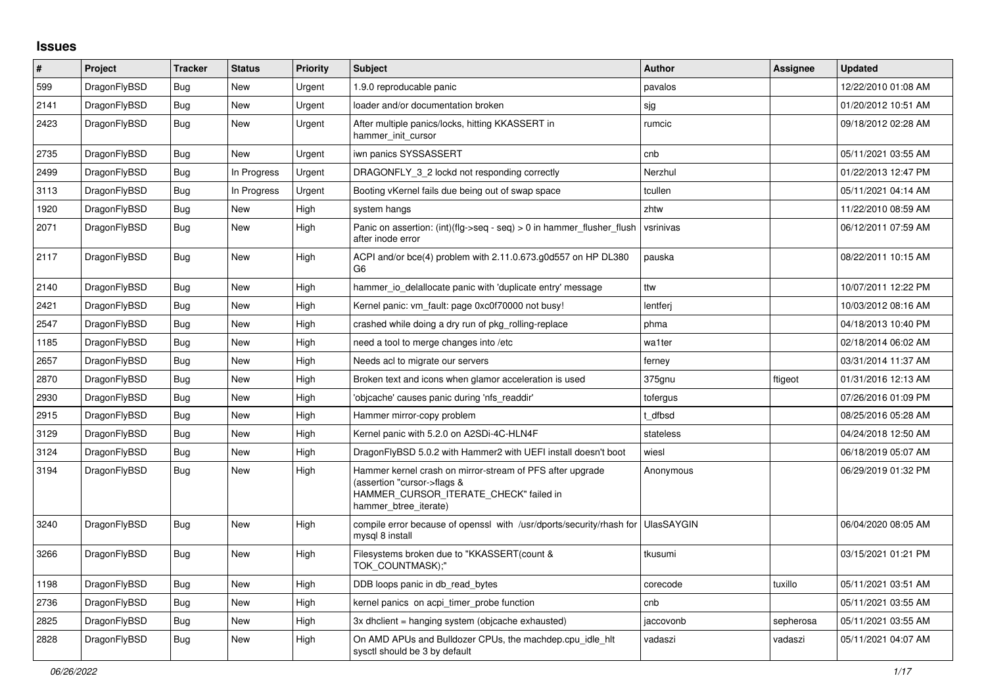## **Issues**

| #    | Project      | <b>Tracker</b> | <b>Status</b> | Priority | <b>Subject</b>                                                                                                                                              | <b>Author</b>     | Assignee  | <b>Updated</b>      |
|------|--------------|----------------|---------------|----------|-------------------------------------------------------------------------------------------------------------------------------------------------------------|-------------------|-----------|---------------------|
| 599  | DragonFlyBSD | <b>Bug</b>     | <b>New</b>    | Urgent   | 1.9.0 reproducable panic                                                                                                                                    | pavalos           |           | 12/22/2010 01:08 AM |
| 2141 | DragonFlyBSD | <b>Bug</b>     | <b>New</b>    | Urgent   | loader and/or documentation broken                                                                                                                          | sjg               |           | 01/20/2012 10:51 AM |
| 2423 | DragonFlyBSD | <b>Bug</b>     | <b>New</b>    | Urgent   | After multiple panics/locks, hitting KKASSERT in<br>hammer init cursor                                                                                      | rumcic            |           | 09/18/2012 02:28 AM |
| 2735 | DragonFlyBSD | Bug            | New           | Urgent   | iwn panics SYSSASSERT                                                                                                                                       | cnb               |           | 05/11/2021 03:55 AM |
| 2499 | DragonFlyBSD | Bug            | In Progress   | Urgent   | DRAGONFLY 3 2 lockd not responding correctly                                                                                                                | Nerzhul           |           | 01/22/2013 12:47 PM |
| 3113 | DragonFlyBSD | Bug            | In Progress   | Urgent   | Booting vKernel fails due being out of swap space                                                                                                           | tcullen           |           | 05/11/2021 04:14 AM |
| 1920 | DragonFlyBSD | Bug            | New           | High     | system hangs                                                                                                                                                | zhtw              |           | 11/22/2010 08:59 AM |
| 2071 | DragonFlyBSD | Bug            | New           | High     | Panic on assertion: $(int)(flg->seq - seq) > 0$ in hammer flusher flush<br>after inode error                                                                | vsrinivas         |           | 06/12/2011 07:59 AM |
| 2117 | DragonFlyBSD | Bug            | <b>New</b>    | High     | ACPI and/or bce(4) problem with 2.11.0.673.g0d557 on HP DL380<br>G <sub>6</sub>                                                                             | pauska            |           | 08/22/2011 10:15 AM |
| 2140 | DragonFlyBSD | <b>Bug</b>     | <b>New</b>    | High     | hammer io delallocate panic with 'duplicate entry' message                                                                                                  | ttw               |           | 10/07/2011 12:22 PM |
| 2421 | DragonFlyBSD | <b>Bug</b>     | <b>New</b>    | High     | Kernel panic: vm fault: page 0xc0f70000 not busy!                                                                                                           | lentferi          |           | 10/03/2012 08:16 AM |
| 2547 | DragonFlyBSD | Bug            | <b>New</b>    | High     | crashed while doing a dry run of pkg rolling-replace                                                                                                        | phma              |           | 04/18/2013 10:40 PM |
| 1185 | DragonFlyBSD | Bug            | <b>New</b>    | High     | need a tool to merge changes into /etc                                                                                                                      | wa1ter            |           | 02/18/2014 06:02 AM |
| 2657 | DragonFlyBSD | <b>Bug</b>     | <b>New</b>    | High     | Needs acl to migrate our servers                                                                                                                            | ferney            |           | 03/31/2014 11:37 AM |
| 2870 | DragonFlyBSD | Bug            | <b>New</b>    | High     | Broken text and icons when glamor acceleration is used                                                                                                      | 375gnu            | ftigeot   | 01/31/2016 12:13 AM |
| 2930 | DragonFlyBSD | <b>Bug</b>     | <b>New</b>    | High     | 'objcache' causes panic during 'nfs_readdir'                                                                                                                | tofergus          |           | 07/26/2016 01:09 PM |
| 2915 | DragonFlyBSD | <b>Bug</b>     | <b>New</b>    | High     | Hammer mirror-copy problem                                                                                                                                  | t dfbsd           |           | 08/25/2016 05:28 AM |
| 3129 | DragonFlyBSD | <b>Bug</b>     | New           | High     | Kernel panic with 5.2.0 on A2SDi-4C-HLN4F                                                                                                                   | stateless         |           | 04/24/2018 12:50 AM |
| 3124 | DragonFlyBSD | Bug            | New           | High     | DragonFlyBSD 5.0.2 with Hammer2 with UEFI install doesn't boot                                                                                              | wiesl             |           | 06/18/2019 05:07 AM |
| 3194 | DragonFlyBSD | <b>Bug</b>     | <b>New</b>    | High     | Hammer kernel crash on mirror-stream of PFS after upgrade<br>(assertion "cursor->flags &<br>HAMMER_CURSOR_ITERATE_CHECK" failed in<br>hammer btree iterate) | Anonymous         |           | 06/29/2019 01:32 PM |
| 3240 | DragonFlyBSD | Bug            | <b>New</b>    | High     | compile error because of openssl with /usr/dports/security/rhash for<br>mysql 8 install                                                                     | <b>UlasSAYGIN</b> |           | 06/04/2020 08:05 AM |
| 3266 | DragonFlyBSD | <b>Bug</b>     | New           | High     | Filesystems broken due to "KKASSERT(count &<br>TOK_COUNTMASK);"                                                                                             | tkusumi           |           | 03/15/2021 01:21 PM |
| 1198 | DragonFlyBSD | <b>Bug</b>     | <b>New</b>    | High     | DDB loops panic in db read bytes                                                                                                                            | corecode          | tuxillo   | 05/11/2021 03:51 AM |
| 2736 | DragonFlyBSD | <b>Bug</b>     | <b>New</b>    | High     | kernel panics on acpi timer probe function                                                                                                                  | cnb               |           | 05/11/2021 03:55 AM |
| 2825 | DragonFlyBSD | Bug            | <b>New</b>    | High     | 3x dhclient = hanging system (objcache exhausted)                                                                                                           | jaccovonb         | sepherosa | 05/11/2021 03:55 AM |
| 2828 | DragonFlyBSD | <b>Bug</b>     | <b>New</b>    | High     | On AMD APUs and Bulldozer CPUs, the machdep.cpu_idle_hlt<br>sysctl should be 3 by default                                                                   | vadaszi           | vadaszi   | 05/11/2021 04:07 AM |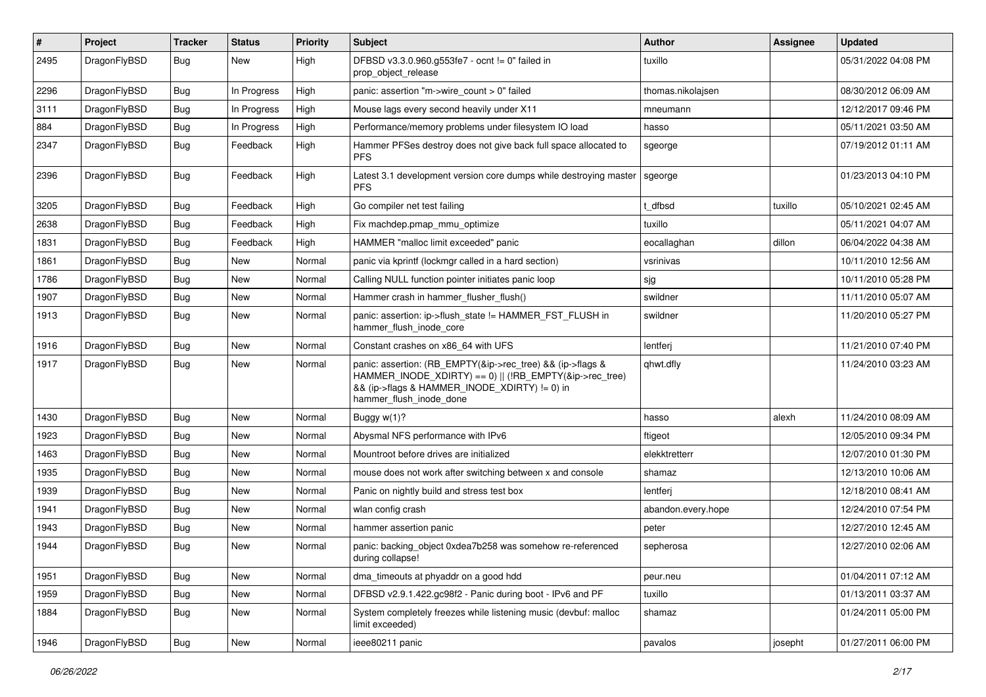| #    | Project      | <b>Tracker</b> | <b>Status</b> | <b>Priority</b> | Subject                                                                                                                                                                                           | Author             | Assignee | <b>Updated</b>      |
|------|--------------|----------------|---------------|-----------------|---------------------------------------------------------------------------------------------------------------------------------------------------------------------------------------------------|--------------------|----------|---------------------|
| 2495 | DragonFlyBSD | Bug            | New           | High            | DFBSD v3.3.0.960.g553fe7 - ocnt != 0" failed in<br>prop object release                                                                                                                            | tuxillo            |          | 05/31/2022 04:08 PM |
| 2296 | DragonFlyBSD | <b>Bug</b>     | In Progress   | High            | panic: assertion "m->wire count > 0" failed                                                                                                                                                       | thomas.nikolajsen  |          | 08/30/2012 06:09 AM |
| 3111 | DragonFlyBSD | <b>Bug</b>     | In Progress   | High            | Mouse lags every second heavily under X11                                                                                                                                                         | mneumann           |          | 12/12/2017 09:46 PM |
| 884  | DragonFlyBSD | <b>Bug</b>     | In Progress   | High            | Performance/memory problems under filesystem IO load                                                                                                                                              | hasso              |          | 05/11/2021 03:50 AM |
| 2347 | DragonFlyBSD | <b>Bug</b>     | Feedback      | High            | Hammer PFSes destroy does not give back full space allocated to<br><b>PFS</b>                                                                                                                     | sgeorge            |          | 07/19/2012 01:11 AM |
| 2396 | DragonFlyBSD | Bug            | Feedback      | High            | Latest 3.1 development version core dumps while destroying master<br><b>PFS</b>                                                                                                                   | sgeorge            |          | 01/23/2013 04:10 PM |
| 3205 | DragonFlyBSD | Bug            | Feedback      | High            | Go compiler net test failing                                                                                                                                                                      | dfbsd              | tuxillo  | 05/10/2021 02:45 AM |
| 2638 | DragonFlyBSD | Bug            | Feedback      | High            | Fix machdep.pmap_mmu_optimize                                                                                                                                                                     | tuxillo            |          | 05/11/2021 04:07 AM |
| 1831 | DragonFlyBSD | <b>Bug</b>     | Feedback      | High            | HAMMER "malloc limit exceeded" panic                                                                                                                                                              | eocallaghan        | dillon   | 06/04/2022 04:38 AM |
| 1861 | DragonFlyBSD | <b>Bug</b>     | New           | Normal          | panic via kprintf (lockmgr called in a hard section)                                                                                                                                              | vsrinivas          |          | 10/11/2010 12:56 AM |
| 1786 | DragonFlyBSD | <b>Bug</b>     | <b>New</b>    | Normal          | Calling NULL function pointer initiates panic loop                                                                                                                                                | sjg                |          | 10/11/2010 05:28 PM |
| 1907 | DragonFlyBSD | <b>Bug</b>     | New           | Normal          | Hammer crash in hammer flusher flush()                                                                                                                                                            | swildner           |          | 11/11/2010 05:07 AM |
| 1913 | DragonFlyBSD | <b>Bug</b>     | <b>New</b>    | Normal          | panic: assertion: ip->flush_state != HAMMER_FST_FLUSH in<br>hammer_flush_inode_core                                                                                                               | swildner           |          | 11/20/2010 05:27 PM |
| 1916 | DragonFlyBSD | Bug            | <b>New</b>    | Normal          | Constant crashes on x86_64 with UFS                                                                                                                                                               | lentferj           |          | 11/21/2010 07:40 PM |
| 1917 | DragonFlyBSD | <b>Bug</b>     | New           | Normal          | panic: assertion: (RB_EMPTY(&ip->rec_tree) && (ip->flags &<br>HAMMER_INODE_XDIRTY) == 0)    (!RB_EMPTY(&ip->rec_tree)<br>&& (ip->flags & HAMMER_INODE_XDIRTY) != 0) in<br>hammer flush inode done | qhwt.dfly          |          | 11/24/2010 03:23 AM |
| 1430 | DragonFlyBSD | Bug            | <b>New</b>    | Normal          | Buggy w(1)?                                                                                                                                                                                       | hasso              | alexh    | 11/24/2010 08:09 AM |
| 1923 | DragonFlyBSD | Bug            | New           | Normal          | Abysmal NFS performance with IPv6                                                                                                                                                                 | ftigeot            |          | 12/05/2010 09:34 PM |
| 1463 | DragonFlyBSD | Bug            | <b>New</b>    | Normal          | Mountroot before drives are initialized                                                                                                                                                           | elekktretterr      |          | 12/07/2010 01:30 PM |
| 1935 | DragonFlyBSD | Bug            | New           | Normal          | mouse does not work after switching between x and console                                                                                                                                         | shamaz             |          | 12/13/2010 10:06 AM |
| 1939 | DragonFlyBSD | Bug            | <b>New</b>    | Normal          | Panic on nightly build and stress test box                                                                                                                                                        | lentferj           |          | 12/18/2010 08:41 AM |
| 1941 | DragonFlyBSD | Bug            | New           | Normal          | wlan config crash                                                                                                                                                                                 | abandon.every.hope |          | 12/24/2010 07:54 PM |
| 1943 | DragonFlyBSD | Bug            | New           | Normal          | hammer assertion panic                                                                                                                                                                            | peter              |          | 12/27/2010 12:45 AM |
| 1944 | DragonFlyBSD | Bug            | <b>New</b>    | Normal          | panic: backing object 0xdea7b258 was somehow re-referenced<br>during collapse!                                                                                                                    | sepherosa          |          | 12/27/2010 02:06 AM |
| 1951 | DragonFlyBSD | Bug            | <b>New</b>    | Normal          | dma timeouts at phyaddr on a good hdd                                                                                                                                                             | peur.neu           |          | 01/04/2011 07:12 AM |
| 1959 | DragonFlyBSD | <b>Bug</b>     | New           | Normal          | DFBSD v2.9.1.422.gc98f2 - Panic during boot - IPv6 and PF                                                                                                                                         | tuxillo            |          | 01/13/2011 03:37 AM |
| 1884 | DragonFlyBSD | <b>Bug</b>     | New           | Normal          | System completely freezes while listening music (devbuf: malloc<br>limit exceeded)                                                                                                                | shamaz             |          | 01/24/2011 05:00 PM |
| 1946 | DragonFlyBSD | <b>Bug</b>     | New           | Normal          | ieee80211 panic                                                                                                                                                                                   | pavalos            | josepht  | 01/27/2011 06:00 PM |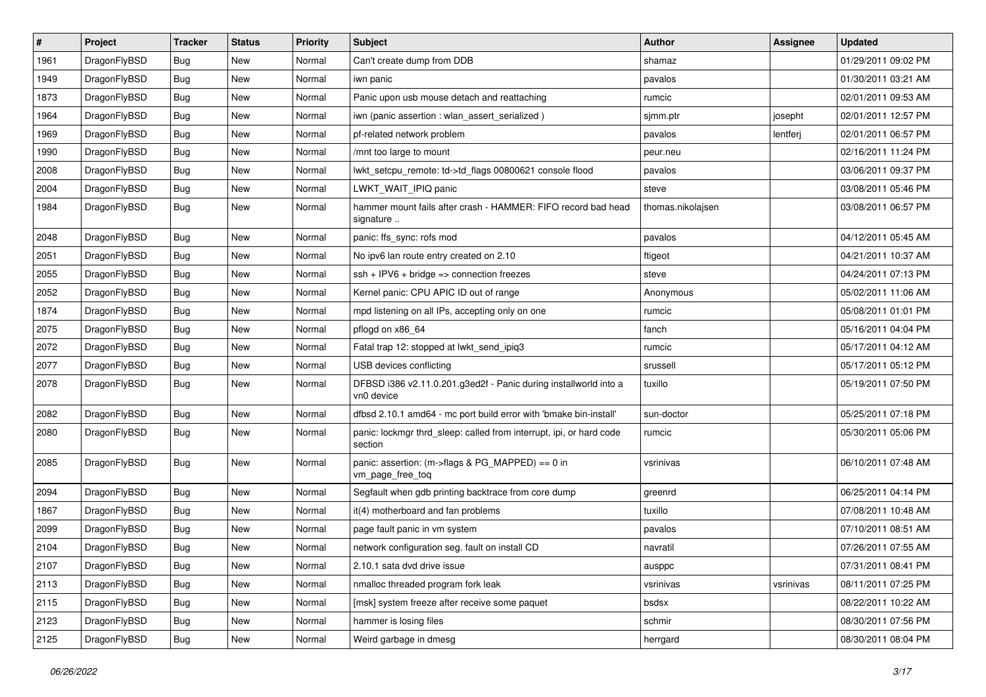| $\sharp$ | Project      | <b>Tracker</b> | <b>Status</b> | <b>Priority</b> | Subject                                                                          | <b>Author</b>     | Assignee  | <b>Updated</b>      |
|----------|--------------|----------------|---------------|-----------------|----------------------------------------------------------------------------------|-------------------|-----------|---------------------|
| 1961     | DragonFlyBSD | Bug            | New           | Normal          | Can't create dump from DDB                                                       | shamaz            |           | 01/29/2011 09:02 PM |
| 1949     | DragonFlyBSD | Bug            | <b>New</b>    | Normal          | iwn panic                                                                        | pavalos           |           | 01/30/2011 03:21 AM |
| 1873     | DragonFlyBSD | <b>Bug</b>     | New           | Normal          | Panic upon usb mouse detach and reattaching                                      | rumcic            |           | 02/01/2011 09:53 AM |
| 1964     | DragonFlyBSD | Bug            | New           | Normal          | iwn (panic assertion : wlan assert serialized)                                   | sjmm.ptr          | josepht   | 02/01/2011 12:57 PM |
| 1969     | DragonFlyBSD | Bug            | New           | Normal          | pf-related network problem                                                       | pavalos           | lentferj  | 02/01/2011 06:57 PM |
| 1990     | DragonFlyBSD | Bug            | New           | Normal          | /mnt too large to mount                                                          | peur.neu          |           | 02/16/2011 11:24 PM |
| 2008     | DragonFlyBSD | Bug            | <b>New</b>    | Normal          | lwkt_setcpu_remote: td->td_flags 00800621 console flood                          | pavalos           |           | 03/06/2011 09:37 PM |
| 2004     | DragonFlyBSD | Bug            | <b>New</b>    | Normal          | LWKT_WAIT_IPIQ panic                                                             | steve             |           | 03/08/2011 05:46 PM |
| 1984     | DragonFlyBSD | Bug            | New           | Normal          | hammer mount fails after crash - HAMMER: FIFO record bad head<br>signature       | thomas.nikolajsen |           | 03/08/2011 06:57 PM |
| 2048     | DragonFlyBSD | Bug            | <b>New</b>    | Normal          | panic: ffs_sync: rofs mod                                                        | pavalos           |           | 04/12/2011 05:45 AM |
| 2051     | DragonFlyBSD | Bug            | New           | Normal          | No ipv6 lan route entry created on 2.10                                          | ftigeot           |           | 04/21/2011 10:37 AM |
| 2055     | DragonFlyBSD | Bug            | New           | Normal          | $ssh + IPV6 + bridge \Rightarrow connection freezes$                             | steve             |           | 04/24/2011 07:13 PM |
| 2052     | DragonFlyBSD | Bug            | New           | Normal          | Kernel panic: CPU APIC ID out of range                                           | Anonymous         |           | 05/02/2011 11:06 AM |
| 1874     | DragonFlyBSD | Bug            | New           | Normal          | mpd listening on all IPs, accepting only on one                                  | rumcic            |           | 05/08/2011 01:01 PM |
| 2075     | DragonFlyBSD | Bug            | <b>New</b>    | Normal          | pflogd on x86 64                                                                 | fanch             |           | 05/16/2011 04:04 PM |
| 2072     | DragonFlyBSD | Bug            | <b>New</b>    | Normal          | Fatal trap 12: stopped at lwkt_send_ipiq3                                        | rumcic            |           | 05/17/2011 04:12 AM |
| 2077     | DragonFlyBSD | Bug            | <b>New</b>    | Normal          | USB devices conflicting                                                          | srussell          |           | 05/17/2011 05:12 PM |
| 2078     | DragonFlyBSD | Bug            | <b>New</b>    | Normal          | DFBSD i386 v2.11.0.201.g3ed2f - Panic during installworld into a<br>vn0 device   | tuxillo           |           | 05/19/2011 07:50 PM |
| 2082     | DragonFlyBSD | Bug            | <b>New</b>    | Normal          | dfbsd 2.10.1 amd64 - mc port build error with 'bmake bin-install'                | sun-doctor        |           | 05/25/2011 07:18 PM |
| 2080     | DragonFlyBSD | <b>Bug</b>     | New           | Normal          | panic: lockmgr thrd_sleep: called from interrupt, ipi, or hard code<br>section   | rumcic            |           | 05/30/2011 05:06 PM |
| 2085     | DragonFlyBSD | Bug            | <b>New</b>    | Normal          | panic: assertion: $(m\rightarrow$ flags & PG_MAPPED) == 0 in<br>vm_page_free_toq | vsrinivas         |           | 06/10/2011 07:48 AM |
| 2094     | DragonFlyBSD | Bug            | <b>New</b>    | Normal          | Segfault when gdb printing backtrace from core dump                              | greenrd           |           | 06/25/2011 04:14 PM |
| 1867     | DragonFlyBSD | <b>Bug</b>     | New           | Normal          | it(4) motherboard and fan problems                                               | tuxillo           |           | 07/08/2011 10:48 AM |
| 2099     | DragonFlyBSD | <b>Bug</b>     | <b>New</b>    | Normal          | page fault panic in vm system                                                    | pavalos           |           | 07/10/2011 08:51 AM |
| 2104     | DragonFlyBSD | <b>Bug</b>     | New           | Normal          | network configuration seg. fault on install CD                                   | navratil          |           | 07/26/2011 07:55 AM |
| 2107     | DragonFlyBSD | <b>Bug</b>     | New           | Normal          | 2.10.1 sata dvd drive issue                                                      | ausppc            |           | 07/31/2011 08:41 PM |
| 2113     | DragonFlyBSD | <b>Bug</b>     | New           | Normal          | nmalloc threaded program fork leak                                               | vsrinivas         | vsrinivas | 08/11/2011 07:25 PM |
| 2115     | DragonFlyBSD | <b>Bug</b>     | <b>New</b>    | Normal          | [msk] system freeze after receive some paquet                                    | bsdsx             |           | 08/22/2011 10:22 AM |
| 2123     | DragonFlyBSD | <b>Bug</b>     | New           | Normal          | hammer is losing files                                                           | schmir            |           | 08/30/2011 07:56 PM |
| 2125     | DragonFlyBSD | <b>Bug</b>     | New           | Normal          | Weird garbage in dmesg                                                           | herrgard          |           | 08/30/2011 08:04 PM |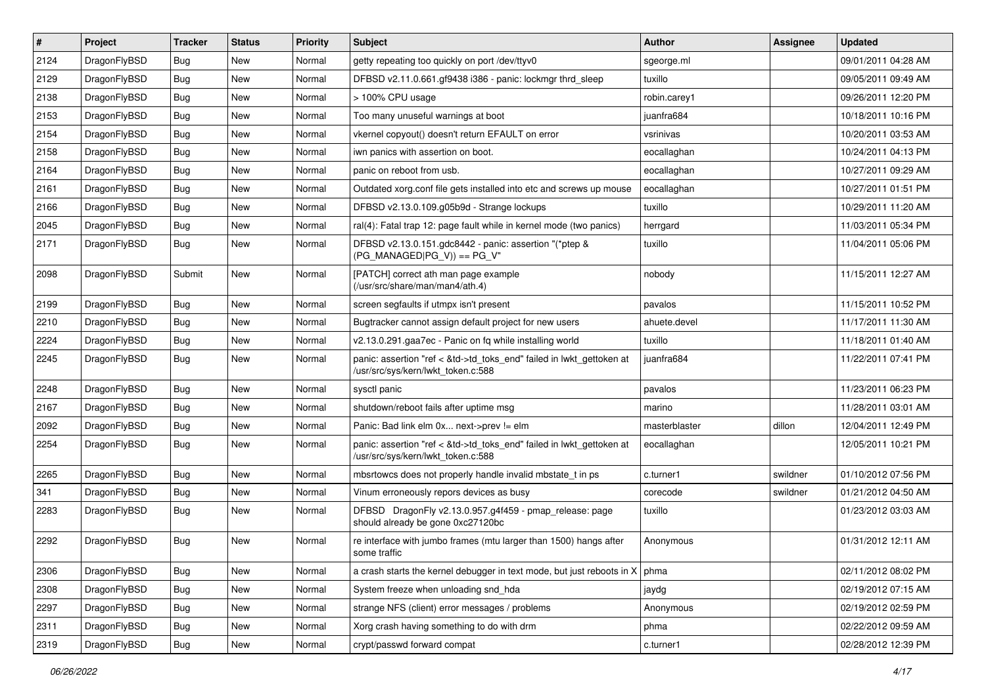| $\vert$ # | Project      | <b>Tracker</b> | <b>Status</b> | <b>Priority</b> | <b>Subject</b>                                                                                             | Author        | Assignee | <b>Updated</b>      |
|-----------|--------------|----------------|---------------|-----------------|------------------------------------------------------------------------------------------------------------|---------------|----------|---------------------|
| 2124      | DragonFlyBSD | Bug            | New           | Normal          | getty repeating too quickly on port /dev/ttyv0                                                             | sgeorge.ml    |          | 09/01/2011 04:28 AM |
| 2129      | DragonFlyBSD | Bug            | <b>New</b>    | Normal          | DFBSD v2.11.0.661.gf9438 i386 - panic: lockmgr thrd_sleep                                                  | tuxillo       |          | 09/05/2011 09:49 AM |
| 2138      | DragonFlyBSD | Bug            | New           | Normal          | > 100% CPU usage                                                                                           | robin.carey1  |          | 09/26/2011 12:20 PM |
| 2153      | DragonFlyBSD | Bug            | New           | Normal          | Too many unuseful warnings at boot                                                                         | juanfra684    |          | 10/18/2011 10:16 PM |
| 2154      | DragonFlyBSD | Bug            | <b>New</b>    | Normal          | vkernel copyout() doesn't return EFAULT on error                                                           | vsrinivas     |          | 10/20/2011 03:53 AM |
| 2158      | DragonFlyBSD | Bug            | New           | Normal          | iwn panics with assertion on boot.                                                                         | eocallaghan   |          | 10/24/2011 04:13 PM |
| 2164      | DragonFlyBSD | Bug            | New           | Normal          | panic on reboot from usb.                                                                                  | eocallaghan   |          | 10/27/2011 09:29 AM |
| 2161      | DragonFlyBSD | Bug            | <b>New</b>    | Normal          | Outdated xorg.conf file gets installed into etc and screws up mouse                                        | eocallaghan   |          | 10/27/2011 01:51 PM |
| 2166      | DragonFlyBSD | Bug            | New           | Normal          | DFBSD v2.13.0.109.g05b9d - Strange lockups                                                                 | tuxillo       |          | 10/29/2011 11:20 AM |
| 2045      | DragonFlyBSD | Bug            | <b>New</b>    | Normal          | ral(4): Fatal trap 12: page fault while in kernel mode (two panics)                                        | herrgard      |          | 11/03/2011 05:34 PM |
| 2171      | DragonFlyBSD | Bug            | New           | Normal          | DFBSD v2.13.0.151.gdc8442 - panic: assertion "(*ptep &<br>$(PG_MANAGED PG_V)) == PG_V"$                    | tuxillo       |          | 11/04/2011 05:06 PM |
| 2098      | DragonFlyBSD | Submit         | New           | Normal          | [PATCH] correct ath man page example<br>(/usr/src/share/man/man4/ath.4)                                    | nobody        |          | 11/15/2011 12:27 AM |
| 2199      | DragonFlyBSD | <b>Bug</b>     | <b>New</b>    | Normal          | screen segfaults if utmpx isn't present                                                                    | pavalos       |          | 11/15/2011 10:52 PM |
| 2210      | DragonFlyBSD | Bug            | New           | Normal          | Bugtracker cannot assign default project for new users                                                     | ahuete.devel  |          | 11/17/2011 11:30 AM |
| 2224      | DragonFlyBSD | Bug            | New           | Normal          | v2.13.0.291.gaa7ec - Panic on fq while installing world                                                    | tuxillo       |          | 11/18/2011 01:40 AM |
| 2245      | DragonFlyBSD | Bug            | New           | Normal          | panic: assertion "ref < &td->td_toks_end" failed in lwkt_gettoken at<br>/usr/src/sys/kern/lwkt_token.c:588 | juanfra684    |          | 11/22/2011 07:41 PM |
| 2248      | DragonFlyBSD | <b>Bug</b>     | <b>New</b>    | Normal          | sysctl panic                                                                                               | pavalos       |          | 11/23/2011 06:23 PM |
| 2167      | DragonFlyBSD | Bug            | New           | Normal          | shutdown/reboot fails after uptime msg                                                                     | marino        |          | 11/28/2011 03:01 AM |
| 2092      | DragonFlyBSD | Bug            | <b>New</b>    | Normal          | Panic: Bad link elm 0x next->prev != elm                                                                   | masterblaster | dillon   | 12/04/2011 12:49 PM |
| 2254      | DragonFlyBSD | Bug            | New           | Normal          | panic: assertion "ref < &td->td_toks_end" failed in lwkt_gettoken at<br>/usr/src/sys/kern/lwkt_token.c:588 | eocallaghan   |          | 12/05/2011 10:21 PM |
| 2265      | DragonFlyBSD | Bug            | <b>New</b>    | Normal          | mbsrtowcs does not properly handle invalid mbstate_t in ps                                                 | c.turner1     | swildner | 01/10/2012 07:56 PM |
| 341       | DragonFlyBSD | <b>Bug</b>     | <b>New</b>    | Normal          | Vinum erroneously repors devices as busy                                                                   | corecode      | swildner | 01/21/2012 04:50 AM |
| 2283      | DragonFlyBSD | Bug            | New           | Normal          | DFBSD DragonFly v2.13.0.957.g4f459 - pmap_release: page<br>should already be gone 0xc27120bc               | tuxillo       |          | 01/23/2012 03:03 AM |
| 2292      | DragonFlyBSD | <b>Bug</b>     | <b>New</b>    | Normal          | re interface with jumbo frames (mtu larger than 1500) hangs after<br>some traffic                          | Anonymous     |          | 01/31/2012 12:11 AM |
| 2306      | DragonFlyBSD | Bug            | New           | Normal          | a crash starts the kernel debugger in text mode, but just reboots in $X \mid p$ hma                        |               |          | 02/11/2012 08:02 PM |
| 2308      | DragonFlyBSD | <b>Bug</b>     | New           | Normal          | System freeze when unloading snd_hda                                                                       | jaydg         |          | 02/19/2012 07:15 AM |
| 2297      | DragonFlyBSD | <b>Bug</b>     | New           | Normal          | strange NFS (client) error messages / problems                                                             | Anonymous     |          | 02/19/2012 02:59 PM |
| 2311      | DragonFlyBSD | Bug            | New           | Normal          | Xorg crash having something to do with drm                                                                 | phma          |          | 02/22/2012 09:59 AM |
| 2319      | DragonFlyBSD | Bug            | New           | Normal          | crypt/passwd forward compat                                                                                | c.turner1     |          | 02/28/2012 12:39 PM |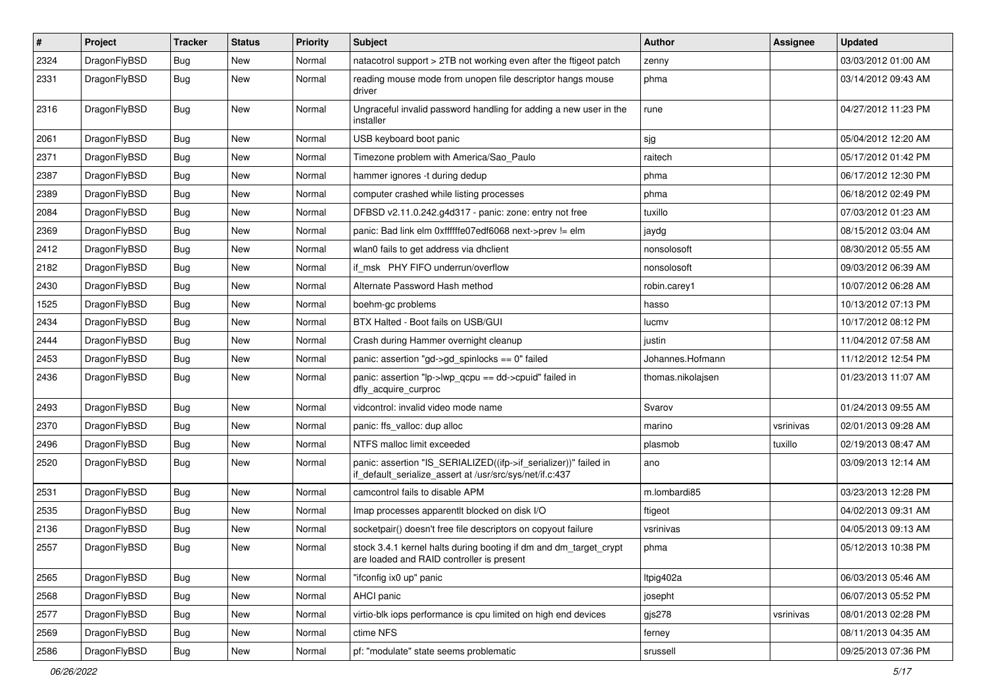| $\pmb{\#}$ | Project      | <b>Tracker</b> | <b>Status</b> | <b>Priority</b> | <b>Subject</b>                                                                                                               | Author            | <b>Assignee</b> | <b>Updated</b>      |
|------------|--------------|----------------|---------------|-----------------|------------------------------------------------------------------------------------------------------------------------------|-------------------|-----------------|---------------------|
| 2324       | DragonFlyBSD | <b>Bug</b>     | New           | Normal          | natacotrol support > 2TB not working even after the ftigeot patch                                                            | zenny             |                 | 03/03/2012 01:00 AM |
| 2331       | DragonFlyBSD | Bug            | <b>New</b>    | Normal          | reading mouse mode from unopen file descriptor hangs mouse<br>driver                                                         | phma              |                 | 03/14/2012 09:43 AM |
| 2316       | DragonFlyBSD | Bug            | New           | Normal          | Ungraceful invalid password handling for adding a new user in the<br>installer                                               | rune              |                 | 04/27/2012 11:23 PM |
| 2061       | DragonFlyBSD | <b>Bug</b>     | <b>New</b>    | Normal          | USB keyboard boot panic                                                                                                      | sjg               |                 | 05/04/2012 12:20 AM |
| 2371       | DragonFlyBSD | Bug            | New           | Normal          | Timezone problem with America/Sao Paulo                                                                                      | raitech           |                 | 05/17/2012 01:42 PM |
| 2387       | DragonFlyBSD | <b>Bug</b>     | New           | Normal          | hammer ignores -t during dedup                                                                                               | phma              |                 | 06/17/2012 12:30 PM |
| 2389       | DragonFlyBSD | <b>Bug</b>     | <b>New</b>    | Normal          | computer crashed while listing processes                                                                                     | phma              |                 | 06/18/2012 02:49 PM |
| 2084       | DragonFlyBSD | Bug            | <b>New</b>    | Normal          | DFBSD v2.11.0.242.g4d317 - panic: zone: entry not free                                                                       | tuxillo           |                 | 07/03/2012 01:23 AM |
| 2369       | DragonFlyBSD | <b>Bug</b>     | <b>New</b>    | Normal          | panic: Bad link elm 0xffffffe07edf6068 next->prev != elm                                                                     | jaydg             |                 | 08/15/2012 03:04 AM |
| 2412       | DragonFlyBSD | Bug            | <b>New</b>    | Normal          | wlan0 fails to get address via dhclient                                                                                      | nonsolosoft       |                 | 08/30/2012 05:55 AM |
| 2182       | DragonFlyBSD | <b>Bug</b>     | New           | Normal          | if msk PHY FIFO underrun/overflow                                                                                            | nonsolosoft       |                 | 09/03/2012 06:39 AM |
| 2430       | DragonFlyBSD | <b>Bug</b>     | <b>New</b>    | Normal          | Alternate Password Hash method                                                                                               | robin.carey1      |                 | 10/07/2012 06:28 AM |
| 1525       | DragonFlyBSD | Bug            | <b>New</b>    | Normal          | boehm-gc problems                                                                                                            | hasso             |                 | 10/13/2012 07:13 PM |
| 2434       | DragonFlyBSD | Bug            | <b>New</b>    | Normal          | BTX Halted - Boot fails on USB/GUI                                                                                           | lucmv             |                 | 10/17/2012 08:12 PM |
| 2444       | DragonFlyBSD | <b>Bug</b>     | New           | Normal          | Crash during Hammer overnight cleanup                                                                                        | justin            |                 | 11/04/2012 07:58 AM |
| 2453       | DragonFlyBSD | <b>Bug</b>     | <b>New</b>    | Normal          | panic: assertion "gd->gd_spinlocks == 0" failed                                                                              | Johannes.Hofmann  |                 | 11/12/2012 12:54 PM |
| 2436       | DragonFlyBSD | Bug            | <b>New</b>    | Normal          | panic: assertion "lp->lwp_qcpu == dd->cpuid" failed in<br>dfly_acquire_curproc                                               | thomas.nikolajsen |                 | 01/23/2013 11:07 AM |
| 2493       | DragonFlyBSD | <b>Bug</b>     | <b>New</b>    | Normal          | vidcontrol: invalid video mode name                                                                                          | Svarov            |                 | 01/24/2013 09:55 AM |
| 2370       | DragonFlyBSD | <b>Bug</b>     | <b>New</b>    | Normal          | panic: ffs_valloc: dup alloc                                                                                                 | marino            | vsrinivas       | 02/01/2013 09:28 AM |
| 2496       | DragonFlyBSD | Bug            | <b>New</b>    | Normal          | NTFS malloc limit exceeded                                                                                                   | plasmob           | tuxillo         | 02/19/2013 08:47 AM |
| 2520       | DragonFlyBSD | <b>Bug</b>     | New           | Normal          | panic: assertion "IS_SERIALIZED((ifp->if_serializer))" failed in<br>if_default_serialize_assert at /usr/src/sys/net/if.c:437 | ano               |                 | 03/09/2013 12:14 AM |
| 2531       | DragonFlyBSD | <b>Bug</b>     | <b>New</b>    | Normal          | camcontrol fails to disable APM                                                                                              | m.lombardi85      |                 | 03/23/2013 12:28 PM |
| 2535       | DragonFlyBSD | <b>Bug</b>     | New           | Normal          | Imap processes apparentlt blocked on disk I/O                                                                                | ftigeot           |                 | 04/02/2013 09:31 AM |
| 2136       | DragonFlyBSD | <b>Bug</b>     | New           | Normal          | socketpair() doesn't free file descriptors on copyout failure                                                                | vsrinivas         |                 | 04/05/2013 09:13 AM |
| 2557       | DragonFlyBSD | <b>Bug</b>     | <b>New</b>    | Normal          | stock 3.4.1 kernel halts during booting if dm and dm target crypt<br>are loaded and RAID controller is present               | phma              |                 | 05/12/2013 10:38 PM |
| 2565       | DragonFlyBSD | <b>Bug</b>     | <b>New</b>    | Normal          | "ifconfig ix0 up" panic                                                                                                      | Itpig402a         |                 | 06/03/2013 05:46 AM |
| 2568       | DragonFlyBSD | <b>Bug</b>     | <b>New</b>    | Normal          | AHCI panic                                                                                                                   | josepht           |                 | 06/07/2013 05:52 PM |
| 2577       | DragonFlyBSD | Bug            | New           | Normal          | virtio-blk iops performance is cpu limited on high end devices                                                               | gjs278            | vsrinivas       | 08/01/2013 02:28 PM |
| 2569       | DragonFlyBSD | <b>Bug</b>     | New           | Normal          | ctime NFS                                                                                                                    | ferney            |                 | 08/11/2013 04:35 AM |
| 2586       | DragonFlyBSD | Bug            | New           | Normal          | pf: "modulate" state seems problematic                                                                                       | srussell          |                 | 09/25/2013 07:36 PM |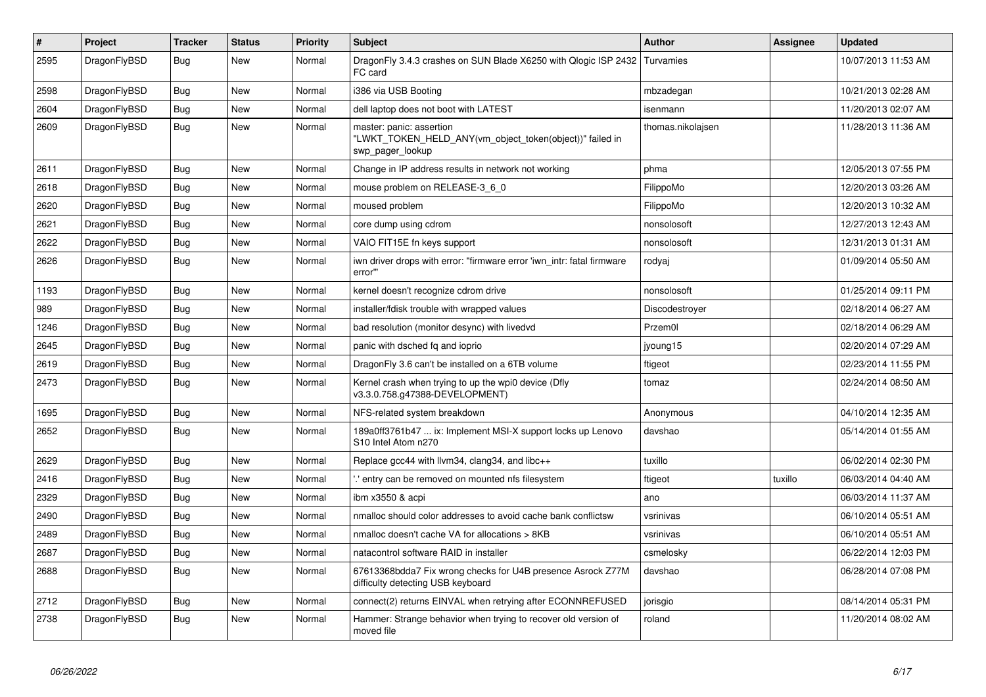| $\vert$ # | Project      | <b>Tracker</b> | <b>Status</b> | <b>Priority</b> | <b>Subject</b>                                                                                           | <b>Author</b>     | Assignee | Updated             |
|-----------|--------------|----------------|---------------|-----------------|----------------------------------------------------------------------------------------------------------|-------------------|----------|---------------------|
| 2595      | DragonFlyBSD | Bug            | <b>New</b>    | Normal          | DragonFly 3.4.3 crashes on SUN Blade X6250 with Qlogic ISP 2432<br>FC card                               | Turvamies         |          | 10/07/2013 11:53 AM |
| 2598      | DragonFlyBSD | <b>Bug</b>     | <b>New</b>    | Normal          | 386 via USB Booting                                                                                      | mbzadegan         |          | 10/21/2013 02:28 AM |
| 2604      | DragonFlyBSD | Bug            | <b>New</b>    | Normal          | dell laptop does not boot with LATEST                                                                    | isenmann          |          | 11/20/2013 02:07 AM |
| 2609      | DragonFlyBSD | Bug            | <b>New</b>    | Normal          | master: panic: assertion<br>"LWKT_TOKEN_HELD_ANY(vm_object_token(object))" failed in<br>swp_pager_lookup | thomas.nikolajsen |          | 11/28/2013 11:36 AM |
| 2611      | DragonFlyBSD | Bug            | New           | Normal          | Change in IP address results in network not working                                                      | phma              |          | 12/05/2013 07:55 PM |
| 2618      | DragonFlyBSD | Bug            | New           | Normal          | mouse problem on RELEASE-3_6_0                                                                           | FilippoMo         |          | 12/20/2013 03:26 AM |
| 2620      | DragonFlyBSD | Bug            | New           | Normal          | moused problem                                                                                           | FilippoMo         |          | 12/20/2013 10:32 AM |
| 2621      | DragonFlyBSD | <b>Bug</b>     | <b>New</b>    | Normal          | core dump using cdrom                                                                                    | nonsolosoft       |          | 12/27/2013 12:43 AM |
| 2622      | DragonFlyBSD | <b>Bug</b>     | New           | Normal          | VAIO FIT15E fn keys support                                                                              | nonsolosoft       |          | 12/31/2013 01:31 AM |
| 2626      | DragonFlyBSD | Bug            | New           | Normal          | iwn driver drops with error: "firmware error 'iwn intr: fatal firmware<br>error"                         | rodyaj            |          | 01/09/2014 05:50 AM |
| 1193      | DragonFlyBSD | <b>Bug</b>     | New           | Normal          | kernel doesn't recognize cdrom drive                                                                     | nonsolosoft       |          | 01/25/2014 09:11 PM |
| 989       | DragonFlyBSD | <b>Bug</b>     | <b>New</b>    | Normal          | installer/fdisk trouble with wrapped values                                                              | Discodestroyer    |          | 02/18/2014 06:27 AM |
| 1246      | DragonFlyBSD | Bug            | New           | Normal          | bad resolution (monitor desync) with livedvd                                                             | Przem0l           |          | 02/18/2014 06:29 AM |
| 2645      | DragonFlyBSD | Bug            | <b>New</b>    | Normal          | panic with dsched fq and ioprio                                                                          | jyoung15          |          | 02/20/2014 07:29 AM |
| 2619      | DragonFlyBSD | <b>Bug</b>     | New           | Normal          | DragonFly 3.6 can't be installed on a 6TB volume                                                         | ftigeot           |          | 02/23/2014 11:55 PM |
| 2473      | DragonFlyBSD | <b>Bug</b>     | New           | Normal          | Kernel crash when trying to up the wpi0 device (Dfly<br>v3.3.0.758.g47388-DEVELOPMENT)                   | tomaz             |          | 02/24/2014 08:50 AM |
| 1695      | DragonFlyBSD | <b>Bug</b>     | New           | Normal          | NFS-related system breakdown                                                                             | Anonymous         |          | 04/10/2014 12:35 AM |
| 2652      | DragonFlyBSD | <b>Bug</b>     | New           | Normal          | 189a0ff3761b47  ix: Implement MSI-X support locks up Lenovo<br>S10 Intel Atom n270                       | davshao           |          | 05/14/2014 01:55 AM |
| 2629      | DragonFlyBSD | <b>Bug</b>     | <b>New</b>    | Normal          | Replace gcc44 with llvm34, clang34, and libc++                                                           | tuxillo           |          | 06/02/2014 02:30 PM |
| 2416      | DragonFlyBSD | Bug            | <b>New</b>    | Normal          | ".' entry can be removed on mounted nfs filesystem                                                       | ftigeot           | tuxillo  | 06/03/2014 04:40 AM |
| 2329      | DragonFlyBSD | Bug            | New           | Normal          | ibm x3550 & acpi                                                                                         | ano               |          | 06/03/2014 11:37 AM |
| 2490      | DragonFlyBSD | <b>Bug</b>     | <b>New</b>    | Normal          | nmalloc should color addresses to avoid cache bank conflictsw                                            | vsrinivas         |          | 06/10/2014 05:51 AM |
| 2489      | DragonFlyBSD | <b>Bug</b>     | <b>New</b>    | Normal          | nmalloc doesn't cache VA for allocations > 8KB                                                           | vsrinivas         |          | 06/10/2014 05:51 AM |
| 2687      | DragonFlyBSD | Bug            | <b>New</b>    | Normal          | natacontrol software RAID in installer                                                                   | csmelosky         |          | 06/22/2014 12:03 PM |
| 2688      | DragonFlyBSD | Bug            | <b>New</b>    | Normal          | 67613368bdda7 Fix wrong checks for U4B presence Asrock Z77M<br>difficulty detecting USB keyboard         | davshao           |          | 06/28/2014 07:08 PM |
| 2712      | DragonFlyBSD | <b>Bug</b>     | <b>New</b>    | Normal          | connect(2) returns EINVAL when retrying after ECONNREFUSED                                               | jorisgio          |          | 08/14/2014 05:31 PM |
| 2738      | DragonFlyBSD | <b>Bug</b>     | <b>New</b>    | Normal          | Hammer: Strange behavior when trying to recover old version of<br>moved file                             | roland            |          | 11/20/2014 08:02 AM |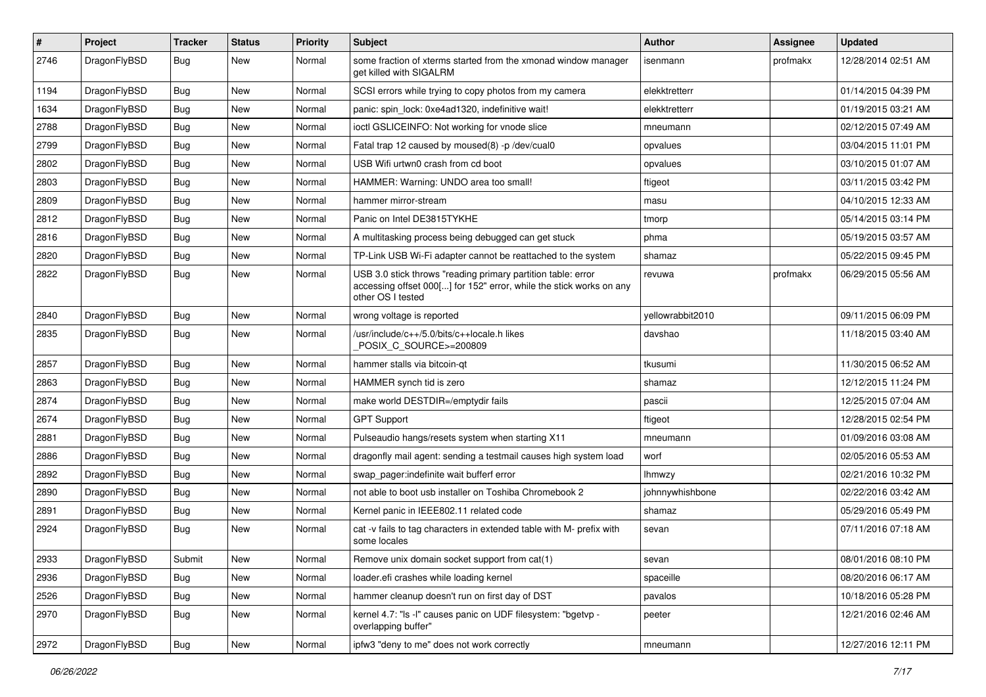| #    | Project      | <b>Tracker</b> | <b>Status</b> | <b>Priority</b> | Subject                                                                                                                                                  | Author           | Assignee | <b>Updated</b>      |
|------|--------------|----------------|---------------|-----------------|----------------------------------------------------------------------------------------------------------------------------------------------------------|------------------|----------|---------------------|
| 2746 | DragonFlyBSD | Bug            | New           | Normal          | some fraction of xterms started from the xmonad window manager<br>get killed with SIGALRM                                                                | isenmann         | profmakx | 12/28/2014 02:51 AM |
| 1194 | DragonFlyBSD | <b>Bug</b>     | <b>New</b>    | Normal          | SCSI errors while trying to copy photos from my camera                                                                                                   | elekktretterr    |          | 01/14/2015 04:39 PM |
| 1634 | DragonFlyBSD | Bug            | New           | Normal          | panic: spin lock: 0xe4ad1320, indefinitive wait!                                                                                                         | elekktretterr    |          | 01/19/2015 03:21 AM |
| 2788 | DragonFlyBSD | <b>Bug</b>     | New           | Normal          | ioctl GSLICEINFO: Not working for vnode slice                                                                                                            | mneumann         |          | 02/12/2015 07:49 AM |
| 2799 | DragonFlyBSD | <b>Bug</b>     | New           | Normal          | Fatal trap 12 caused by moused(8) -p/dev/cual0                                                                                                           | opvalues         |          | 03/04/2015 11:01 PM |
| 2802 | DragonFlyBSD | <b>Bug</b>     | <b>New</b>    | Normal          | USB Wifi urtwn0 crash from cd boot                                                                                                                       | opvalues         |          | 03/10/2015 01:07 AM |
| 2803 | DragonFlyBSD | <b>Bug</b>     | New           | Normal          | HAMMER: Warning: UNDO area too small!                                                                                                                    | ftigeot          |          | 03/11/2015 03:42 PM |
| 2809 | DragonFlyBSD | Bug            | New           | Normal          | hammer mirror-stream                                                                                                                                     | masu             |          | 04/10/2015 12:33 AM |
| 2812 | DragonFlyBSD | <b>Bug</b>     | <b>New</b>    | Normal          | Panic on Intel DE3815TYKHE                                                                                                                               | tmorp            |          | 05/14/2015 03:14 PM |
| 2816 | DragonFlyBSD | <b>Bug</b>     | New           | Normal          | A multitasking process being debugged can get stuck                                                                                                      | phma             |          | 05/19/2015 03:57 AM |
| 2820 | DragonFlyBSD | Bug            | New           | Normal          | TP-Link USB Wi-Fi adapter cannot be reattached to the system                                                                                             | shamaz           |          | 05/22/2015 09:45 PM |
| 2822 | DragonFlyBSD | Bug            | New           | Normal          | USB 3.0 stick throws "reading primary partition table: error<br>accessing offset 000[] for 152" error, while the stick works on any<br>other OS I tested | revuwa           | profmakx | 06/29/2015 05:56 AM |
| 2840 | DragonFlyBSD | <b>Bug</b>     | <b>New</b>    | Normal          | wrong voltage is reported                                                                                                                                | yellowrabbit2010 |          | 09/11/2015 06:09 PM |
| 2835 | DragonFlyBSD | Bug            | New           | Normal          | /usr/include/c++/5.0/bits/c++locale.h likes<br>POSIX_C_SOURCE>=200809                                                                                    | davshao          |          | 11/18/2015 03:40 AM |
| 2857 | DragonFlyBSD | Bug            | <b>New</b>    | Normal          | hammer stalls via bitcoin-qt                                                                                                                             | tkusumi          |          | 11/30/2015 06:52 AM |
| 2863 | DragonFlyBSD | Bug            | New           | Normal          | HAMMER synch tid is zero                                                                                                                                 | shamaz           |          | 12/12/2015 11:24 PM |
| 2874 | DragonFlyBSD | Bug            | New           | Normal          | make world DESTDIR=/emptydir fails                                                                                                                       | pascii           |          | 12/25/2015 07:04 AM |
| 2674 | DragonFlyBSD | <b>Bug</b>     | New           | Normal          | <b>GPT Support</b>                                                                                                                                       | ftigeot          |          | 12/28/2015 02:54 PM |
| 2881 | DragonFlyBSD | <b>Bug</b>     | New           | Normal          | Pulseaudio hangs/resets system when starting X11                                                                                                         | mneumann         |          | 01/09/2016 03:08 AM |
| 2886 | DragonFlyBSD | <b>Bug</b>     | New           | Normal          | dragonfly mail agent: sending a testmail causes high system load                                                                                         | worf             |          | 02/05/2016 05:53 AM |
| 2892 | DragonFlyBSD | Bug            | New           | Normal          | swap_pager:indefinite wait bufferf error                                                                                                                 | <b>Ihmwzy</b>    |          | 02/21/2016 10:32 PM |
| 2890 | DragonFlyBSD | <b>Bug</b>     | New           | Normal          | not able to boot usb installer on Toshiba Chromebook 2                                                                                                   | johnnywhishbone  |          | 02/22/2016 03:42 AM |
| 2891 | DragonFlyBSD | <b>Bug</b>     | New           | Normal          | Kernel panic in IEEE802.11 related code                                                                                                                  | shamaz           |          | 05/29/2016 05:49 PM |
| 2924 | DragonFlyBSD | Bug            | New           | Normal          | cat -v fails to tag characters in extended table with M- prefix with<br>some locales                                                                     | sevan            |          | 07/11/2016 07:18 AM |
| 2933 | DragonFlyBSD | Submit         | New           | Normal          | Remove unix domain socket support from cat(1)                                                                                                            | sevan            |          | 08/01/2016 08:10 PM |
| 2936 | DragonFlyBSD | Bug            | New           | Normal          | loader.efi crashes while loading kernel                                                                                                                  | spaceille        |          | 08/20/2016 06:17 AM |
| 2526 | DragonFlyBSD | <b>Bug</b>     | New           | Normal          | hammer cleanup doesn't run on first day of DST                                                                                                           | pavalos          |          | 10/18/2016 05:28 PM |
| 2970 | DragonFlyBSD | Bug            | New           | Normal          | kernel 4.7: "Is -I" causes panic on UDF filesystem: "bgetvp -<br>overlapping buffer"                                                                     | peeter           |          | 12/21/2016 02:46 AM |
| 2972 | DragonFlyBSD | <b>Bug</b>     | New           | Normal          | ipfw3 "deny to me" does not work correctly                                                                                                               | mneumann         |          | 12/27/2016 12:11 PM |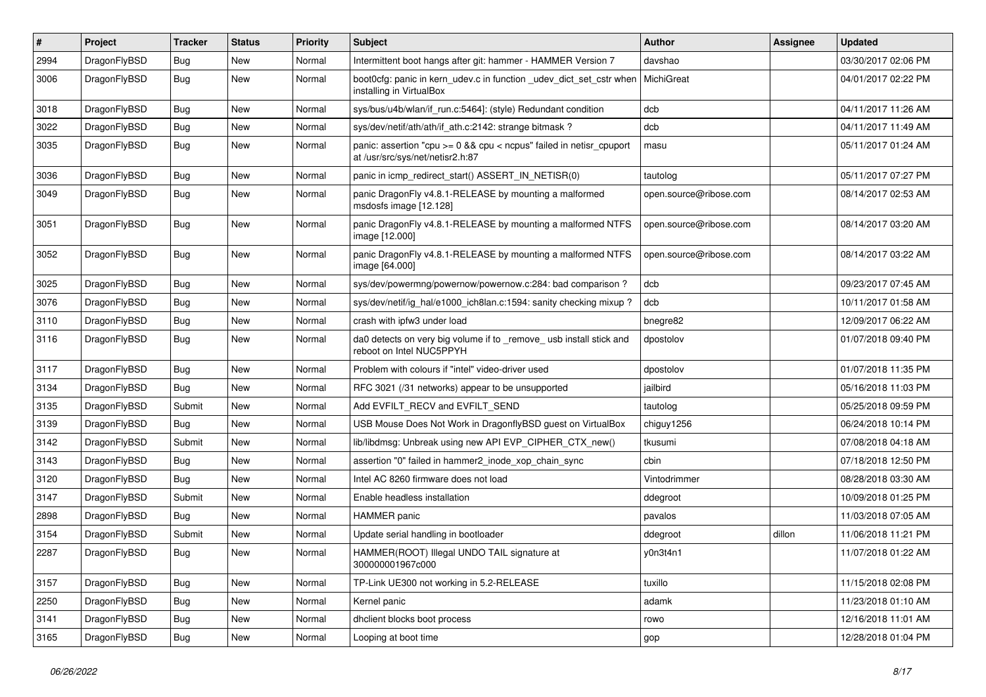| $\pmb{\#}$ | Project      | <b>Tracker</b> | <b>Status</b> | <b>Priority</b> | Subject                                                                                                 | Author                 | Assignee | <b>Updated</b>      |
|------------|--------------|----------------|---------------|-----------------|---------------------------------------------------------------------------------------------------------|------------------------|----------|---------------------|
| 2994       | DragonFlyBSD | <b>Bug</b>     | New           | Normal          | Intermittent boot hangs after git: hammer - HAMMER Version 7                                            | davshao                |          | 03/30/2017 02:06 PM |
| 3006       | DragonFlyBSD | Bug            | <b>New</b>    | Normal          | boot Ocfg: panic in kern udev.c in function udev dict set cstr when<br>installing in VirtualBox         | MichiGreat             |          | 04/01/2017 02:22 PM |
| 3018       | DragonFlyBSD | Bug            | New           | Normal          | sys/bus/u4b/wlan/if_run.c:5464]: (style) Redundant condition                                            | dcb                    |          | 04/11/2017 11:26 AM |
| 3022       | DragonFlyBSD | <b>Bug</b>     | <b>New</b>    | Normal          | sys/dev/netif/ath/ath/if_ath.c:2142: strange bitmask?                                                   | dcb                    |          | 04/11/2017 11:49 AM |
| 3035       | DragonFlyBSD | Bug            | <b>New</b>    | Normal          | panic: assertion "cpu >= 0 && cpu < ncpus" failed in netisr_cpuport<br>at /usr/src/sys/net/netisr2.h:87 | masu                   |          | 05/11/2017 01:24 AM |
| 3036       | DragonFlyBSD | <b>Bug</b>     | <b>New</b>    | Normal          | panic in icmp redirect start() ASSERT IN NETISR(0)                                                      | tautolog               |          | 05/11/2017 07:27 PM |
| 3049       | DragonFlyBSD | Bug            | New           | Normal          | panic DragonFly v4.8.1-RELEASE by mounting a malformed<br>msdosfs image [12.128]                        | open.source@ribose.com |          | 08/14/2017 02:53 AM |
| 3051       | DragonFlyBSD | <b>Bug</b>     | <b>New</b>    | Normal          | panic DragonFly v4.8.1-RELEASE by mounting a malformed NTFS<br>image [12.000]                           | open.source@ribose.com |          | 08/14/2017 03:20 AM |
| 3052       | DragonFlyBSD | Bug            | <b>New</b>    | Normal          | panic DragonFly v4.8.1-RELEASE by mounting a malformed NTFS<br>image [64.000]                           | open.source@ribose.com |          | 08/14/2017 03:22 AM |
| 3025       | DragonFlyBSD | <b>Bug</b>     | <b>New</b>    | Normal          | sys/dev/powermng/powernow/powernow.c:284: bad comparison?                                               | dcb                    |          | 09/23/2017 07:45 AM |
| 3076       | DragonFlyBSD | <b>Bug</b>     | <b>New</b>    | Normal          | sys/dev/netif/ig_hal/e1000_ich8lan.c:1594: sanity checking mixup?                                       | dcb                    |          | 10/11/2017 01:58 AM |
| 3110       | DragonFlyBSD | <b>Bug</b>     | <b>New</b>    | Normal          | crash with ipfw3 under load                                                                             | bnegre82               |          | 12/09/2017 06:22 AM |
| 3116       | DragonFlyBSD | <b>Bug</b>     | New           | Normal          | da0 detects on very big volume if to _remove_ usb install stick and<br>reboot on Intel NUC5PPYH         | dpostolov              |          | 01/07/2018 09:40 PM |
| 3117       | DragonFlyBSD | <b>Bug</b>     | <b>New</b>    | Normal          | Problem with colours if "intel" video-driver used                                                       | dpostolov              |          | 01/07/2018 11:35 PM |
| 3134       | DragonFlyBSD | Bug            | <b>New</b>    | Normal          | RFC 3021 (/31 networks) appear to be unsupported                                                        | jailbird               |          | 05/16/2018 11:03 PM |
| 3135       | DragonFlyBSD | Submit         | New           | Normal          | Add EVFILT_RECV and EVFILT_SEND                                                                         | tautolog               |          | 05/25/2018 09:59 PM |
| 3139       | DragonFlyBSD | <b>Bug</b>     | New           | Normal          | USB Mouse Does Not Work in DragonflyBSD guest on VirtualBox                                             | chiguy1256             |          | 06/24/2018 10:14 PM |
| 3142       | DragonFlyBSD | Submit         | New           | Normal          | lib/libdmsg: Unbreak using new API EVP_CIPHER_CTX_new()                                                 | tkusumi                |          | 07/08/2018 04:18 AM |
| 3143       | DragonFlyBSD | Bug            | New           | Normal          | assertion "0" failed in hammer2 inode xop chain sync                                                    | cbin                   |          | 07/18/2018 12:50 PM |
| 3120       | DragonFlyBSD | <b>Bug</b>     | New           | Normal          | Intel AC 8260 firmware does not load                                                                    | Vintodrimmer           |          | 08/28/2018 03:30 AM |
| 3147       | DragonFlyBSD | Submit         | <b>New</b>    | Normal          | Enable headless installation                                                                            | ddegroot               |          | 10/09/2018 01:25 PM |
| 2898       | DragonFlyBSD | Bug            | New           | Normal          | <b>HAMMER</b> panic                                                                                     | pavalos                |          | 11/03/2018 07:05 AM |
| 3154       | DragonFlyBSD | Submit         | New           | Normal          | Update serial handling in bootloader                                                                    | ddegroot               | dillon   | 11/06/2018 11:21 PM |
| 2287       | DragonFlyBSD | Bug            | New           | Normal          | HAMMER(ROOT) Illegal UNDO TAIL signature at<br>300000001967c000                                         | y0n3t4n1               |          | 11/07/2018 01:22 AM |
| 3157       | DragonFlyBSD | <b>Bug</b>     | <b>New</b>    | Normal          | TP-Link UE300 not working in 5.2-RELEASE                                                                | tuxillo                |          | 11/15/2018 02:08 PM |
| 2250       | DragonFlyBSD | Bug            | <b>New</b>    | Normal          | Kernel panic                                                                                            | adamk                  |          | 11/23/2018 01:10 AM |
| 3141       | DragonFlyBSD | Bug            | New           | Normal          | dhclient blocks boot process                                                                            | rowo                   |          | 12/16/2018 11:01 AM |
| 3165       | DragonFlyBSD | Bug            | New           | Normal          | Looping at boot time                                                                                    | gop                    |          | 12/28/2018 01:04 PM |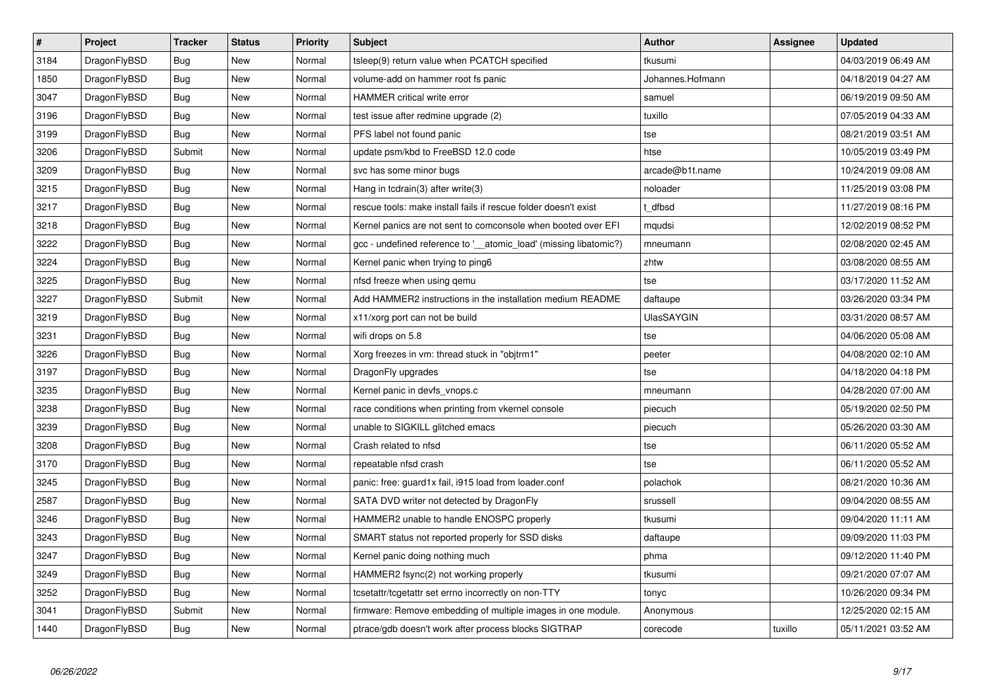| $\vert$ # | Project      | <b>Tracker</b> | <b>Status</b> | <b>Priority</b> | <b>Subject</b>                                                    | Author            | Assignee | <b>Updated</b>      |
|-----------|--------------|----------------|---------------|-----------------|-------------------------------------------------------------------|-------------------|----------|---------------------|
| 3184      | DragonFlyBSD | <b>Bug</b>     | New           | Normal          | tsleep(9) return value when PCATCH specified                      | tkusumi           |          | 04/03/2019 06:49 AM |
| 1850      | DragonFlyBSD | Bug            | <b>New</b>    | Normal          | volume-add on hammer root fs panic                                | Johannes.Hofmann  |          | 04/18/2019 04:27 AM |
| 3047      | DragonFlyBSD | <b>Bug</b>     | <b>New</b>    | Normal          | HAMMER critical write error                                       | samuel            |          | 06/19/2019 09:50 AM |
| 3196      | DragonFlyBSD | Bug            | New           | Normal          | test issue after redmine upgrade (2)                              | tuxillo           |          | 07/05/2019 04:33 AM |
| 3199      | DragonFlyBSD | <b>Bug</b>     | <b>New</b>    | Normal          | PFS label not found panic                                         | tse               |          | 08/21/2019 03:51 AM |
| 3206      | DragonFlyBSD | Submit         | <b>New</b>    | Normal          | update psm/kbd to FreeBSD 12.0 code                               | htse              |          | 10/05/2019 03:49 PM |
| 3209      | DragonFlyBSD | Bug            | <b>New</b>    | Normal          | svc has some minor bugs                                           | arcade@b1t.name   |          | 10/24/2019 09:08 AM |
| 3215      | DragonFlyBSD | <b>Bug</b>     | <b>New</b>    | Normal          | Hang in tcdrain(3) after write(3)                                 | noloader          |          | 11/25/2019 03:08 PM |
| 3217      | DragonFlyBSD | Bug            | <b>New</b>    | Normal          | rescue tools: make install fails if rescue folder doesn't exist   | t dfbsd           |          | 11/27/2019 08:16 PM |
| 3218      | DragonFlyBSD | <b>Bug</b>     | <b>New</b>    | Normal          | Kernel panics are not sent to comconsole when booted over EFI     | mqudsi            |          | 12/02/2019 08:52 PM |
| 3222      | DragonFlyBSD | Bug            | New           | Normal          | gcc - undefined reference to '__atomic_load' (missing libatomic?) | mneumann          |          | 02/08/2020 02:45 AM |
| 3224      | DragonFlyBSD | <b>Bug</b>     | New           | Normal          | Kernel panic when trying to ping6                                 | zhtw              |          | 03/08/2020 08:55 AM |
| 3225      | DragonFlyBSD | Bug            | <b>New</b>    | Normal          | nfsd freeze when using gemu                                       | tse               |          | 03/17/2020 11:52 AM |
| 3227      | DragonFlyBSD | Submit         | New           | Normal          | Add HAMMER2 instructions in the installation medium README        | daftaupe          |          | 03/26/2020 03:34 PM |
| 3219      | DragonFlyBSD | <b>Bug</b>     | New           | Normal          | x11/xorg port can not be build                                    | <b>UlasSAYGIN</b> |          | 03/31/2020 08:57 AM |
| 3231      | DragonFlyBSD | <b>Bug</b>     | New           | Normal          | wifi drops on 5.8                                                 | tse               |          | 04/06/2020 05:08 AM |
| 3226      | DragonFlyBSD | <b>Bug</b>     | <b>New</b>    | Normal          | Xorg freezes in vm: thread stuck in "objtrm1"                     | peeter            |          | 04/08/2020 02:10 AM |
| 3197      | DragonFlyBSD | Bug            | New           | Normal          | DragonFly upgrades                                                | tse               |          | 04/18/2020 04:18 PM |
| 3235      | DragonFlyBSD | <b>Bug</b>     | New           | Normal          | Kernel panic in devfs_vnops.c                                     | mneumann          |          | 04/28/2020 07:00 AM |
| 3238      | DragonFlyBSD | Bug            | <b>New</b>    | Normal          | race conditions when printing from vkernel console                | piecuch           |          | 05/19/2020 02:50 PM |
| 3239      | DragonFlyBSD | <b>Bug</b>     | <b>New</b>    | Normal          | unable to SIGKILL glitched emacs                                  | piecuch           |          | 05/26/2020 03:30 AM |
| 3208      | DragonFlyBSD | <b>Bug</b>     | <b>New</b>    | Normal          | Crash related to nfsd                                             | tse               |          | 06/11/2020 05:52 AM |
| 3170      | DragonFlyBSD | Bug            | <b>New</b>    | Normal          | repeatable nfsd crash                                             | tse               |          | 06/11/2020 05:52 AM |
| 3245      | DragonFlyBSD | <b>Bug</b>     | <b>New</b>    | Normal          | panic: free: guard1x fail, i915 load from loader.conf             | polachok          |          | 08/21/2020 10:36 AM |
| 2587      | DragonFlyBSD | <b>Bug</b>     | <b>New</b>    | Normal          | SATA DVD writer not detected by DragonFly                         | srussell          |          | 09/04/2020 08:55 AM |
| 3246      | DragonFlyBSD | <b>Bug</b>     | <b>New</b>    | Normal          | HAMMER2 unable to handle ENOSPC properly                          | tkusumi           |          | 09/04/2020 11:11 AM |
| 3243      | DragonFlyBSD | Bug            | <b>New</b>    | Normal          | SMART status not reported properly for SSD disks                  | daftaupe          |          | 09/09/2020 11:03 PM |
| 3247      | DragonFlyBSD | <b>Bug</b>     | <b>New</b>    | Normal          | Kernel panic doing nothing much                                   | phma              |          | 09/12/2020 11:40 PM |
| 3249      | DragonFlyBSD | Bug            | New           | Normal          | HAMMER2 fsync(2) not working properly                             | tkusumi           |          | 09/21/2020 07:07 AM |
| 3252      | DragonFlyBSD | Bug            | New           | Normal          | tcsetattr/tcgetattr set errno incorrectly on non-TTY              | tonyc             |          | 10/26/2020 09:34 PM |
| 3041      | DragonFlyBSD | Submit         | New           | Normal          | firmware: Remove embedding of multiple images in one module.      | Anonymous         |          | 12/25/2020 02:15 AM |
| 1440      | DragonFlyBSD | Bug            | <b>New</b>    | Normal          | ptrace/gdb doesn't work after process blocks SIGTRAP              | corecode          | tuxillo  | 05/11/2021 03:52 AM |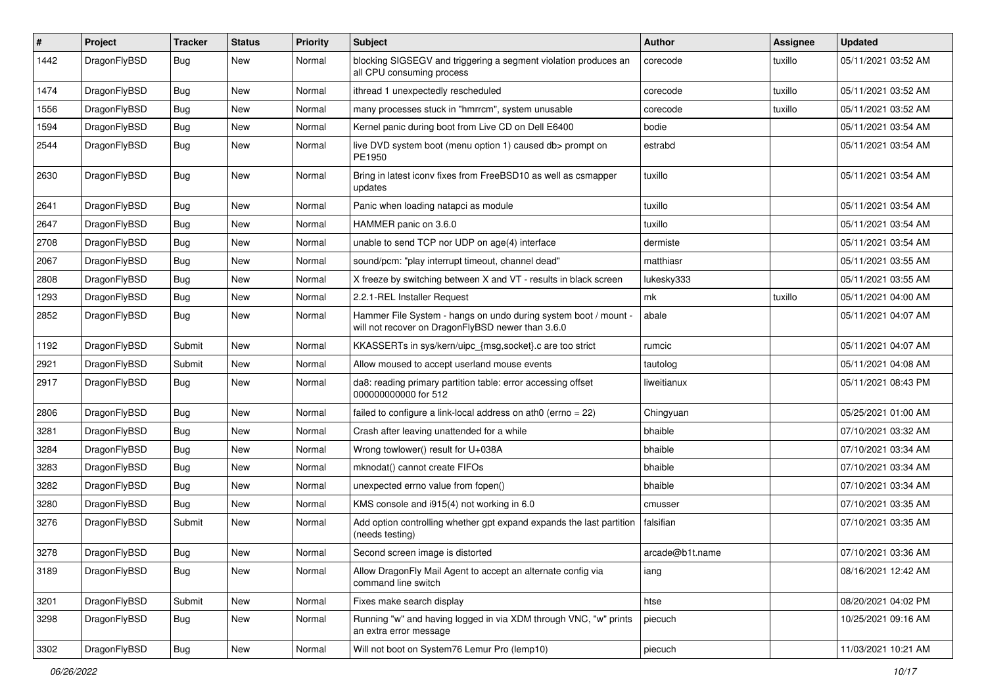| $\sharp$ | Project      | <b>Tracker</b> | <b>Status</b> | <b>Priority</b> | Subject                                                                                                              | Author          | Assignee | <b>Updated</b>      |
|----------|--------------|----------------|---------------|-----------------|----------------------------------------------------------------------------------------------------------------------|-----------------|----------|---------------------|
| 1442     | DragonFlyBSD | Bug            | New           | Normal          | blocking SIGSEGV and triggering a segment violation produces an<br>all CPU consuming process                         | corecode        | tuxillo  | 05/11/2021 03:52 AM |
| 1474     | DragonFlyBSD | Bug            | <b>New</b>    | Normal          | ithread 1 unexpectedly rescheduled                                                                                   | corecode        | tuxillo  | 05/11/2021 03:52 AM |
| 1556     | DragonFlyBSD | Bug            | New           | Normal          | many processes stuck in "hmrrcm", system unusable                                                                    | corecode        | tuxillo  | 05/11/2021 03:52 AM |
| 1594     | DragonFlyBSD | Bug            | New           | Normal          | Kernel panic during boot from Live CD on Dell E6400                                                                  | bodie           |          | 05/11/2021 03:54 AM |
| 2544     | DragonFlyBSD | <b>Bug</b>     | New           | Normal          | live DVD system boot (menu option 1) caused db> prompt on<br>PE1950                                                  | estrabd         |          | 05/11/2021 03:54 AM |
| 2630     | DragonFlyBSD | Bug            | <b>New</b>    | Normal          | Bring in latest iconv fixes from FreeBSD10 as well as csmapper<br>updates                                            | tuxillo         |          | 05/11/2021 03:54 AM |
| 2641     | DragonFlyBSD | Bug            | <b>New</b>    | Normal          | Panic when loading natapci as module                                                                                 | tuxillo         |          | 05/11/2021 03:54 AM |
| 2647     | DragonFlyBSD | Bug            | <b>New</b>    | Normal          | HAMMER panic on 3.6.0                                                                                                | tuxillo         |          | 05/11/2021 03:54 AM |
| 2708     | DragonFlyBSD | Bug            | New           | Normal          | unable to send TCP nor UDP on age(4) interface                                                                       | dermiste        |          | 05/11/2021 03:54 AM |
| 2067     | DragonFlyBSD | Bug            | <b>New</b>    | Normal          | sound/pcm: "play interrupt timeout, channel dead"                                                                    | matthiasr       |          | 05/11/2021 03:55 AM |
| 2808     | DragonFlyBSD | Bug            | New           | Normal          | X freeze by switching between X and VT - results in black screen                                                     | lukesky333      |          | 05/11/2021 03:55 AM |
| 1293     | DragonFlyBSD | Bug            | New           | Normal          | 2.2.1-REL Installer Request                                                                                          | mk              | tuxillo  | 05/11/2021 04:00 AM |
| 2852     | DragonFlyBSD | Bug            | <b>New</b>    | Normal          | Hammer File System - hangs on undo during system boot / mount -<br>will not recover on DragonFlyBSD newer than 3.6.0 | abale           |          | 05/11/2021 04:07 AM |
| 1192     | DragonFlyBSD | Submit         | <b>New</b>    | Normal          | KKASSERTs in sys/kern/uipc_{msg,socket}.c are too strict                                                             | rumcic          |          | 05/11/2021 04:07 AM |
| 2921     | DragonFlyBSD | Submit         | New           | Normal          | Allow moused to accept userland mouse events                                                                         | tautolog        |          | 05/11/2021 04:08 AM |
| 2917     | DragonFlyBSD | Bug            | New           | Normal          | da8: reading primary partition table: error accessing offset<br>000000000000 for 512                                 | liweitianux     |          | 05/11/2021 08:43 PM |
| 2806     | DragonFlyBSD | Bug            | New           | Normal          | failed to configure a link-local address on ath0 (errno = 22)                                                        | Chingyuan       |          | 05/25/2021 01:00 AM |
| 3281     | DragonFlyBSD | Bug            | New           | Normal          | Crash after leaving unattended for a while                                                                           | bhaible         |          | 07/10/2021 03:32 AM |
| 3284     | DragonFlyBSD | Bug            | New           | Normal          | Wrong towlower() result for U+038A                                                                                   | bhaible         |          | 07/10/2021 03:34 AM |
| 3283     | DragonFlyBSD | Bug            | New           | Normal          | mknodat() cannot create FIFOs                                                                                        | bhaible         |          | 07/10/2021 03:34 AM |
| 3282     | DragonFlyBSD | Bug            | <b>New</b>    | Normal          | unexpected errno value from fopen()                                                                                  | bhaible         |          | 07/10/2021 03:34 AM |
| 3280     | DragonFlyBSD | Bug            | New           | Normal          | KMS console and i915(4) not working in 6.0                                                                           | cmusser         |          | 07/10/2021 03:35 AM |
| 3276     | DragonFlyBSD | Submit         | <b>New</b>    | Normal          | Add option controlling whether gpt expand expands the last partition<br>(needs testing)                              | falsifian       |          | 07/10/2021 03:35 AM |
| 3278     | DragonFlyBSD | Bug            | <b>New</b>    | Normal          | Second screen image is distorted                                                                                     | arcade@b1t.name |          | 07/10/2021 03:36 AM |
| 3189     | DragonFlyBSD | <b>Bug</b>     | New           | Normal          | Allow DragonFly Mail Agent to accept an alternate config via<br>command line switch                                  | iang            |          | 08/16/2021 12:42 AM |
| 3201     | DragonFlyBSD | Submit         | <b>New</b>    | Normal          | Fixes make search display                                                                                            | htse            |          | 08/20/2021 04:02 PM |
| 3298     | DragonFlyBSD | Bug            | New           | Normal          | Running "w" and having logged in via XDM through VNC, "w" prints<br>an extra error message                           | piecuch         |          | 10/25/2021 09:16 AM |
| 3302     | DragonFlyBSD | Bug            | New           | Normal          | Will not boot on System76 Lemur Pro (lemp10)                                                                         | piecuch         |          | 11/03/2021 10:21 AM |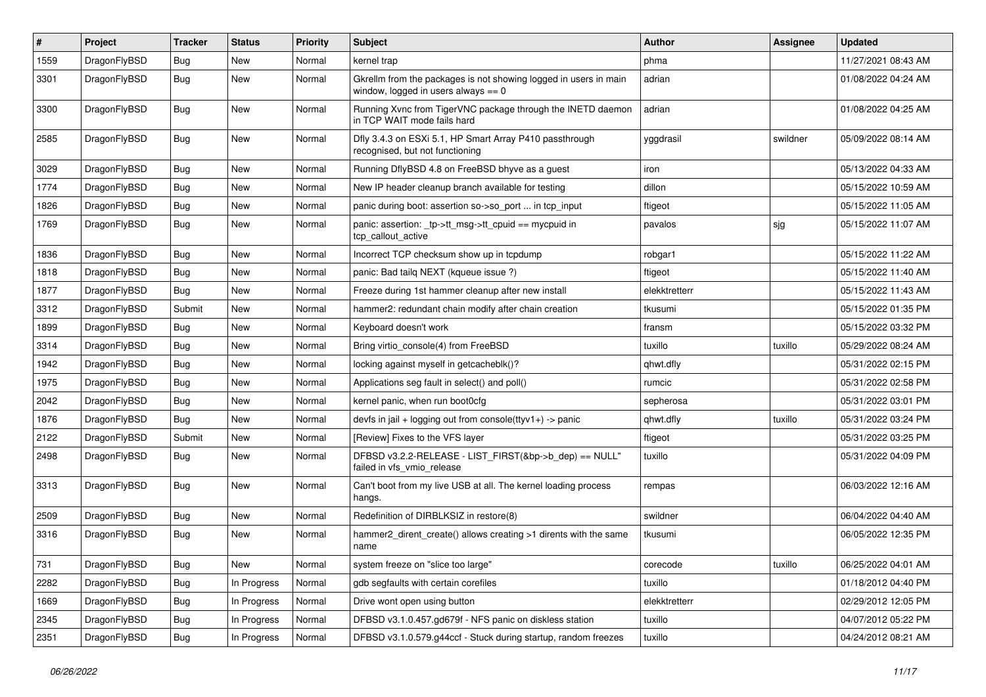| #    | Project      | <b>Tracker</b> | <b>Status</b> | <b>Priority</b> | Subject                                                                                                   | Author        | <b>Assignee</b> | Updated             |
|------|--------------|----------------|---------------|-----------------|-----------------------------------------------------------------------------------------------------------|---------------|-----------------|---------------------|
| 1559 | DragonFlyBSD | Bug            | New           | Normal          | kernel trap                                                                                               | phma          |                 | 11/27/2021 08:43 AM |
| 3301 | DragonFlyBSD | <b>Bug</b>     | <b>New</b>    | Normal          | Gkrellm from the packages is not showing logged in users in main<br>window, logged in users always $== 0$ | adrian        |                 | 01/08/2022 04:24 AM |
| 3300 | DragonFlyBSD | Bug            | New           | Normal          | Running Xvnc from TigerVNC package through the INETD daemon<br>in TCP WAIT mode fails hard                | adrian        |                 | 01/08/2022 04:25 AM |
| 2585 | DragonFlyBSD | Bug            | New           | Normal          | Dfly 3.4.3 on ESXi 5.1, HP Smart Array P410 passthrough<br>recognised, but not functioning                | yggdrasil     | swildner        | 05/09/2022 08:14 AM |
| 3029 | DragonFlyBSD | Bug            | New           | Normal          | Running DflyBSD 4.8 on FreeBSD bhyve as a guest                                                           | iron          |                 | 05/13/2022 04:33 AM |
| 1774 | DragonFlyBSD | Bug            | <b>New</b>    | Normal          | New IP header cleanup branch available for testing                                                        | dillon        |                 | 05/15/2022 10:59 AM |
| 1826 | DragonFlyBSD | Bug            | <b>New</b>    | Normal          | panic during boot: assertion so->so_port  in tcp_input                                                    | ftigeot       |                 | 05/15/2022 11:05 AM |
| 1769 | DragonFlyBSD | Bug            | New           | Normal          | panic: assertion: _tp->tt_msg->tt_cpuid == mycpuid in<br>tcp callout active                               | pavalos       | sjg             | 05/15/2022 11:07 AM |
| 1836 | DragonFlyBSD | Bug            | <b>New</b>    | Normal          | Incorrect TCP checksum show up in tcpdump                                                                 | robgar1       |                 | 05/15/2022 11:22 AM |
| 1818 | DragonFlyBSD | Bug            | New           | Normal          | panic: Bad tailg NEXT (kgueue issue ?)                                                                    | ftigeot       |                 | 05/15/2022 11:40 AM |
| 1877 | DragonFlyBSD | Bug            | <b>New</b>    | Normal          | Freeze during 1st hammer cleanup after new install                                                        | elekktretterr |                 | 05/15/2022 11:43 AM |
| 3312 | DragonFlyBSD | Submit         | <b>New</b>    | Normal          | hammer2: redundant chain modify after chain creation                                                      | tkusumi       |                 | 05/15/2022 01:35 PM |
| 1899 | DragonFlyBSD | Bug            | New           | Normal          | Keyboard doesn't work                                                                                     | fransm        |                 | 05/15/2022 03:32 PM |
| 3314 | DragonFlyBSD | Bug            | <b>New</b>    | Normal          | Bring virtio console(4) from FreeBSD                                                                      | tuxillo       | tuxillo         | 05/29/2022 08:24 AM |
| 1942 | DragonFlyBSD | Bug            | New           | Normal          | locking against myself in getcacheblk()?                                                                  | qhwt.dfly     |                 | 05/31/2022 02:15 PM |
| 1975 | DragonFlyBSD | Bug            | New           | Normal          | Applications seg fault in select() and poll()                                                             | rumcic        |                 | 05/31/2022 02:58 PM |
| 2042 | DragonFlyBSD | Bug            | New           | Normal          | kernel panic, when run boot0cfg                                                                           | sepherosa     |                 | 05/31/2022 03:01 PM |
| 1876 | DragonFlyBSD | <b>Bug</b>     | New           | Normal          | devfs in jail + logging out from console(ttyv1+) -> panic                                                 | qhwt.dfly     | tuxillo         | 05/31/2022 03:24 PM |
| 2122 | DragonFlyBSD | Submit         | New           | Normal          | [Review] Fixes to the VFS layer                                                                           | ftigeot       |                 | 05/31/2022 03:25 PM |
| 2498 | DragonFlyBSD | Bug            | <b>New</b>    | Normal          | DFBSD v3.2.2-RELEASE - LIST_FIRST(&bp->b_dep) == NULL"<br>failed in vfs_vmio_release                      | tuxillo       |                 | 05/31/2022 04:09 PM |
| 3313 | DragonFlyBSD | <b>Bug</b>     | New           | Normal          | Can't boot from my live USB at all. The kernel loading process<br>hangs.                                  | rempas        |                 | 06/03/2022 12:16 AM |
| 2509 | DragonFlyBSD | Bug            | <b>New</b>    | Normal          | Redefinition of DIRBLKSIZ in restore(8)                                                                   | swildner      |                 | 06/04/2022 04:40 AM |
| 3316 | DragonFlyBSD | Bug            | New           | Normal          | hammer2_dirent_create() allows creating >1 dirents with the same<br>name                                  | tkusumi       |                 | 06/05/2022 12:35 PM |
| 731  | DragonFlyBSD | <b>Bug</b>     | New           | Normal          | system freeze on "slice too large"                                                                        | corecode      | tuxillo         | 06/25/2022 04:01 AM |
| 2282 | DragonFlyBSD | <b>Bug</b>     | In Progress   | Normal          | gdb segfaults with certain corefiles                                                                      | tuxillo       |                 | 01/18/2012 04:40 PM |
| 1669 | DragonFlyBSD | <b>Bug</b>     | In Progress   | Normal          | Drive wont open using button                                                                              | elekktretterr |                 | 02/29/2012 12:05 PM |
| 2345 | DragonFlyBSD | <b>Bug</b>     | In Progress   | Normal          | DFBSD v3.1.0.457.gd679f - NFS panic on diskless station                                                   | tuxillo       |                 | 04/07/2012 05:22 PM |
| 2351 | DragonFlyBSD | <b>Bug</b>     | In Progress   | Normal          | DFBSD v3.1.0.579.g44ccf - Stuck during startup, random freezes                                            | tuxillo       |                 | 04/24/2012 08:21 AM |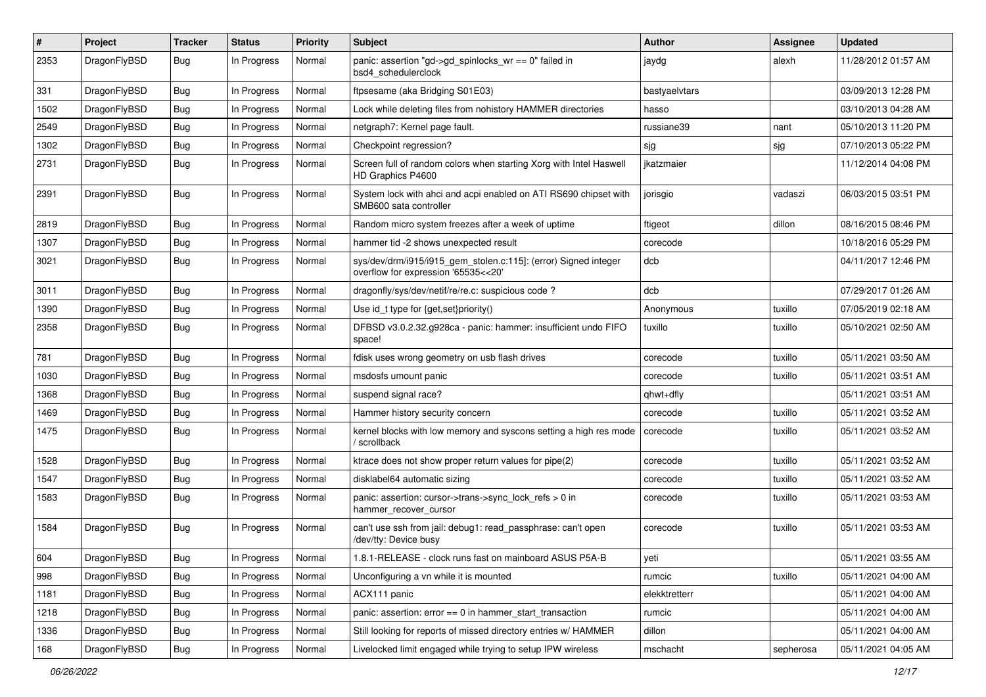| #    | Project      | <b>Tracker</b> | <b>Status</b> | <b>Priority</b> | Subject                                                                                                | Author        | Assignee  | <b>Updated</b>      |
|------|--------------|----------------|---------------|-----------------|--------------------------------------------------------------------------------------------------------|---------------|-----------|---------------------|
| 2353 | DragonFlyBSD | Bug            | In Progress   | Normal          | panic: assertion "gd->gd_spinlocks_wr == 0" failed in<br>bsd4_schedulerclock                           | jaydg         | alexh     | 11/28/2012 01:57 AM |
| 331  | DragonFlyBSD | <b>Bug</b>     | In Progress   | Normal          | ftpsesame (aka Bridging S01E03)                                                                        | bastyaelvtars |           | 03/09/2013 12:28 PM |
| 1502 | DragonFlyBSD | Bug            | In Progress   | Normal          | Lock while deleting files from nohistory HAMMER directories                                            | hasso         |           | 03/10/2013 04:28 AM |
| 2549 | DragonFlyBSD | <b>Bug</b>     | In Progress   | Normal          | netgraph7: Kernel page fault.                                                                          | russiane39    | nant      | 05/10/2013 11:20 PM |
| 1302 | DragonFlyBSD | <b>Bug</b>     | In Progress   | Normal          | Checkpoint regression?                                                                                 | sjg           | sjg       | 07/10/2013 05:22 PM |
| 2731 | DragonFlyBSD | Bug            | In Progress   | Normal          | Screen full of random colors when starting Xorg with Intel Haswell<br>HD Graphics P4600                | jkatzmaier    |           | 11/12/2014 04:08 PM |
| 2391 | DragonFlyBSD | Bug            | In Progress   | Normal          | System lock with ahci and acpi enabled on ATI RS690 chipset with<br>SMB600 sata controller             | jorisgio      | vadaszi   | 06/03/2015 03:51 PM |
| 2819 | DragonFlyBSD | Bug            | In Progress   | Normal          | Random micro system freezes after a week of uptime                                                     | ftigeot       | dillon    | 08/16/2015 08:46 PM |
| 1307 | DragonFlyBSD | <b>Bug</b>     | In Progress   | Normal          | hammer tid -2 shows unexpected result                                                                  | corecode      |           | 10/18/2016 05:29 PM |
| 3021 | DragonFlyBSD | <b>Bug</b>     | In Progress   | Normal          | sys/dev/drm/i915/i915_gem_stolen.c:115]: (error) Signed integer<br>overflow for expression '65535<<20' | dcb           |           | 04/11/2017 12:46 PM |
| 3011 | DragonFlyBSD | <b>Bug</b>     | In Progress   | Normal          | dragonfly/sys/dev/netif/re/re.c: suspicious code ?                                                     | dcb           |           | 07/29/2017 01:26 AM |
| 1390 | DragonFlyBSD | <b>Bug</b>     | In Progress   | Normal          | Use id_t type for {get,set}priority()                                                                  | Anonymous     | tuxillo   | 07/05/2019 02:18 AM |
| 2358 | DragonFlyBSD | <b>Bug</b>     | In Progress   | Normal          | DFBSD v3.0.2.32.g928ca - panic: hammer: insufficient undo FIFO<br>space!                               | tuxillo       | tuxillo   | 05/10/2021 02:50 AM |
| 781  | DragonFlyBSD | Bug            | In Progress   | Normal          | fdisk uses wrong geometry on usb flash drives                                                          | corecode      | tuxillo   | 05/11/2021 03:50 AM |
| 1030 | DragonFlyBSD | Bug            | In Progress   | Normal          | msdosfs umount panic                                                                                   | corecode      | tuxillo   | 05/11/2021 03:51 AM |
| 1368 | DragonFlyBSD | <b>Bug</b>     | In Progress   | Normal          | suspend signal race?                                                                                   | qhwt+dfly     |           | 05/11/2021 03:51 AM |
| 1469 | DragonFlyBSD | <b>Bug</b>     | In Progress   | Normal          | Hammer history security concern                                                                        | corecode      | tuxillo   | 05/11/2021 03:52 AM |
| 1475 | DragonFlyBSD | Bug            | In Progress   | Normal          | kernel blocks with low memory and syscons setting a high res mode<br>/ scrollback                      | corecode      | tuxillo   | 05/11/2021 03:52 AM |
| 1528 | DragonFlyBSD | <b>Bug</b>     | In Progress   | Normal          | ktrace does not show proper return values for pipe(2)                                                  | corecode      | tuxillo   | 05/11/2021 03:52 AM |
| 1547 | DragonFlyBSD | <b>Bug</b>     | In Progress   | Normal          | disklabel64 automatic sizing                                                                           | corecode      | tuxillo   | 05/11/2021 03:52 AM |
| 1583 | DragonFlyBSD | <b>Bug</b>     | In Progress   | Normal          | panic: assertion: cursor->trans->sync_lock_refs > 0 in<br>hammer_recover_cursor                        | corecode      | tuxillo   | 05/11/2021 03:53 AM |
| 1584 | DragonFlyBSD | Bug            | In Progress   | Normal          | can't use ssh from jail: debug1: read_passphrase: can't open<br>/dev/tty: Device busy                  | corecode      | tuxillo   | 05/11/2021 03:53 AM |
| 604  | DragonFlyBSD | Bug            | In Progress   | Normal          | 1.8.1-RELEASE - clock runs fast on mainboard ASUS P5A-B                                                | yeti          |           | 05/11/2021 03:55 AM |
| 998  | DragonFlyBSD | <b>Bug</b>     | In Progress   | Normal          | Unconfiguring a vn while it is mounted                                                                 | rumcic        | tuxillo   | 05/11/2021 04:00 AM |
| 1181 | DragonFlyBSD | <b>Bug</b>     | In Progress   | Normal          | ACX111 panic                                                                                           | elekktretterr |           | 05/11/2021 04:00 AM |
| 1218 | DragonFlyBSD | <b>Bug</b>     | In Progress   | Normal          | panic: assertion: error == 0 in hammer_start_transaction                                               | rumcic        |           | 05/11/2021 04:00 AM |
| 1336 | DragonFlyBSD | <b>Bug</b>     | In Progress   | Normal          | Still looking for reports of missed directory entries w/ HAMMER                                        | dillon        |           | 05/11/2021 04:00 AM |
| 168  | DragonFlyBSD | <b>Bug</b>     | In Progress   | Normal          | Livelocked limit engaged while trying to setup IPW wireless                                            | mschacht      | sepherosa | 05/11/2021 04:05 AM |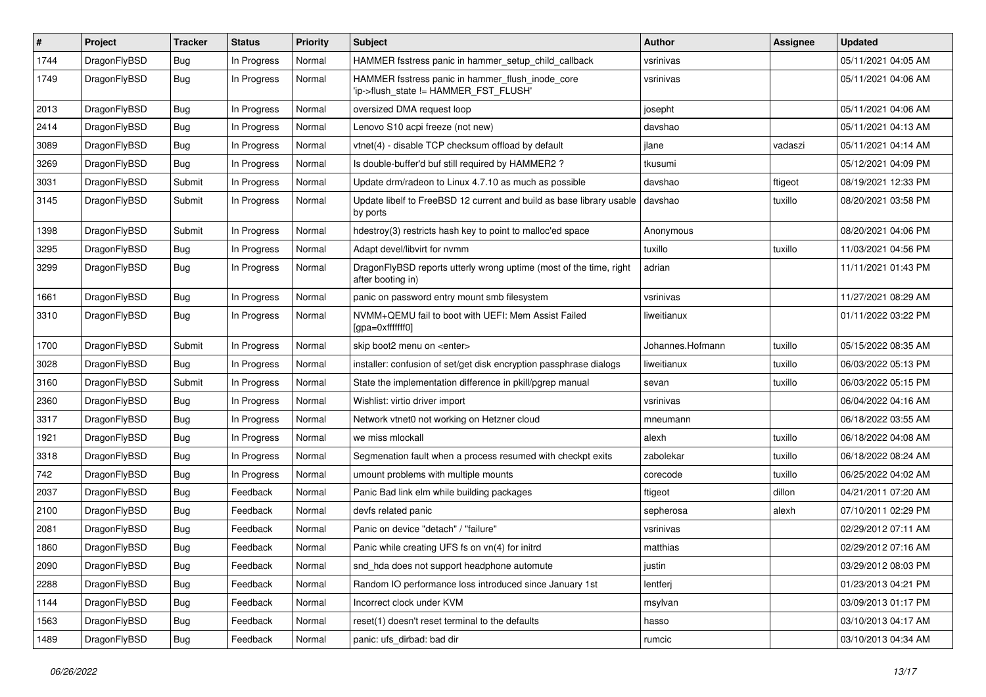| #    | Project      | <b>Tracker</b> | <b>Status</b> | <b>Priority</b> | Subject                                                                                   | Author           | Assignee | <b>Updated</b>      |
|------|--------------|----------------|---------------|-----------------|-------------------------------------------------------------------------------------------|------------------|----------|---------------------|
| 1744 | DragonFlyBSD | Bug            | In Progress   | Normal          | HAMMER fsstress panic in hammer setup child callback                                      | vsrinivas        |          | 05/11/2021 04:05 AM |
| 1749 | DragonFlyBSD | Bug            | In Progress   | Normal          | HAMMER fsstress panic in hammer_flush_inode_core<br>'ip->flush_state != HAMMER_FST_FLUSH' | vsrinivas        |          | 05/11/2021 04:06 AM |
| 2013 | DragonFlyBSD | Bug            | In Progress   | Normal          | oversized DMA request loop                                                                | josepht          |          | 05/11/2021 04:06 AM |
| 2414 | DragonFlyBSD | Bug            | In Progress   | Normal          | Lenovo S10 acpi freeze (not new)                                                          | davshao          |          | 05/11/2021 04:13 AM |
| 3089 | DragonFlyBSD | Bug            | In Progress   | Normal          | vtnet(4) - disable TCP checksum offload by default                                        | jlane            | vadaszi  | 05/11/2021 04:14 AM |
| 3269 | DragonFlyBSD | Bug            | In Progress   | Normal          | Is double-buffer'd buf still required by HAMMER2 ?                                        | tkusumi          |          | 05/12/2021 04:09 PM |
| 3031 | DragonFlyBSD | Submit         | In Progress   | Normal          | Update drm/radeon to Linux 4.7.10 as much as possible                                     | davshao          | ftigeot  | 08/19/2021 12:33 PM |
| 3145 | DragonFlyBSD | Submit         | In Progress   | Normal          | Update libelf to FreeBSD 12 current and build as base library usable<br>by ports          | davshao          | tuxillo  | 08/20/2021 03:58 PM |
| 1398 | DragonFlyBSD | Submit         | In Progress   | Normal          | hdestroy(3) restricts hash key to point to malloc'ed space                                | Anonymous        |          | 08/20/2021 04:06 PM |
| 3295 | DragonFlyBSD | Bug            | In Progress   | Normal          | Adapt devel/libvirt for nvmm                                                              | tuxillo          | tuxillo  | 11/03/2021 04:56 PM |
| 3299 | DragonFlyBSD | <b>Bug</b>     | In Progress   | Normal          | DragonFlyBSD reports utterly wrong uptime (most of the time, right<br>after booting in)   | adrian           |          | 11/11/2021 01:43 PM |
| 1661 | DragonFlyBSD | <b>Bug</b>     | In Progress   | Normal          | panic on password entry mount smb filesystem                                              | vsrinivas        |          | 11/27/2021 08:29 AM |
| 3310 | DragonFlyBSD | <b>Bug</b>     | In Progress   | Normal          | NVMM+QEMU fail to boot with UEFI: Mem Assist Failed<br>[gpa=0xfffffff0]                   | liweitianux      |          | 01/11/2022 03:22 PM |
| 1700 | DragonFlyBSD | Submit         | In Progress   | Normal          | skip boot2 menu on <enter></enter>                                                        | Johannes.Hofmann | tuxillo  | 05/15/2022 08:35 AM |
| 3028 | DragonFlyBSD | <b>Bug</b>     | In Progress   | Normal          | installer: confusion of set/get disk encryption passphrase dialogs                        | liweitianux      | tuxillo  | 06/03/2022 05:13 PM |
| 3160 | DragonFlyBSD | Submit         | In Progress   | Normal          | State the implementation difference in pkill/pgrep manual                                 | sevan            | tuxillo  | 06/03/2022 05:15 PM |
| 2360 | DragonFlyBSD | <b>Bug</b>     | In Progress   | Normal          | Wishlist: virtio driver import                                                            | vsrinivas        |          | 06/04/2022 04:16 AM |
| 3317 | DragonFlyBSD | Bug            | In Progress   | Normal          | Network vtnet0 not working on Hetzner cloud                                               | mneumann         |          | 06/18/2022 03:55 AM |
| 1921 | DragonFlyBSD | <b>Bug</b>     | In Progress   | Normal          | we miss mlockall                                                                          | alexh            | tuxillo  | 06/18/2022 04:08 AM |
| 3318 | DragonFlyBSD | <b>Bug</b>     | In Progress   | Normal          | Segmenation fault when a process resumed with checkpt exits                               | zabolekar        | tuxillo  | 06/18/2022 08:24 AM |
| 742  | DragonFlyBSD | <b>Bug</b>     | In Progress   | Normal          | umount problems with multiple mounts                                                      | corecode         | tuxillo  | 06/25/2022 04:02 AM |
| 2037 | DragonFlyBSD | <b>Bug</b>     | Feedback      | Normal          | Panic Bad link elm while building packages                                                | ftigeot          | dillon   | 04/21/2011 07:20 AM |
| 2100 | DragonFlyBSD | <b>Bug</b>     | Feedback      | Normal          | devfs related panic                                                                       | sepherosa        | alexh    | 07/10/2011 02:29 PM |
| 2081 | DragonFlyBSD | <b>Bug</b>     | Feedback      | Normal          | Panic on device "detach" / "failure"                                                      | vsrinivas        |          | 02/29/2012 07:11 AM |
| 1860 | DragonFlyBSD | Bug            | Feedback      | Normal          | Panic while creating UFS fs on vn(4) for initrd                                           | matthias         |          | 02/29/2012 07:16 AM |
| 2090 | DragonFlyBSD | <b>Bug</b>     | Feedback      | Normal          | snd_hda does not support headphone automute                                               | justin           |          | 03/29/2012 08:03 PM |
| 2288 | DragonFlyBSD | <b>Bug</b>     | Feedback      | Normal          | Random IO performance loss introduced since January 1st                                   | lentferj         |          | 01/23/2013 04:21 PM |
| 1144 | DragonFlyBSD | <b>Bug</b>     | Feedback      | Normal          | Incorrect clock under KVM                                                                 | msylvan          |          | 03/09/2013 01:17 PM |
| 1563 | DragonFlyBSD | <b>Bug</b>     | Feedback      | Normal          | reset(1) doesn't reset terminal to the defaults                                           | hasso            |          | 03/10/2013 04:17 AM |
| 1489 | DragonFlyBSD | <b>Bug</b>     | Feedback      | Normal          | panic: ufs_dirbad: bad dir                                                                | rumcic           |          | 03/10/2013 04:34 AM |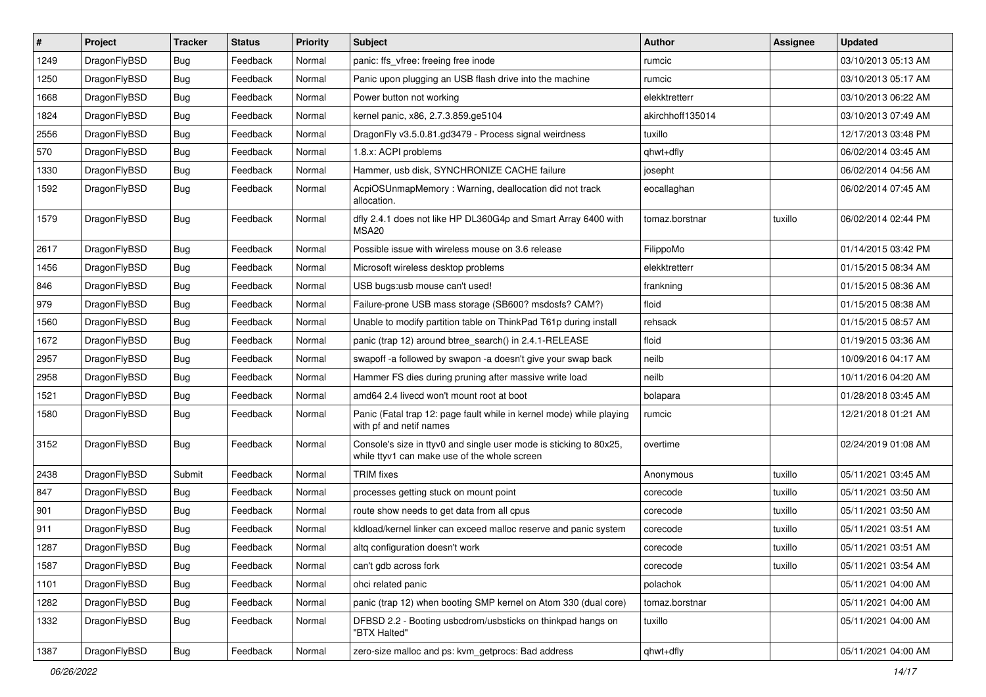| $\sharp$ | Project      | <b>Tracker</b> | <b>Status</b> | <b>Priority</b> | Subject                                                                                                            | <b>Author</b>    | <b>Assignee</b> | <b>Updated</b>      |
|----------|--------------|----------------|---------------|-----------------|--------------------------------------------------------------------------------------------------------------------|------------------|-----------------|---------------------|
| 1249     | DragonFlyBSD | <b>Bug</b>     | Feedback      | Normal          | panic: ffs vfree: freeing free inode                                                                               | rumcic           |                 | 03/10/2013 05:13 AM |
| 1250     | DragonFlyBSD | <b>Bug</b>     | Feedback      | Normal          | Panic upon plugging an USB flash drive into the machine                                                            | rumcic           |                 | 03/10/2013 05:17 AM |
| 1668     | DragonFlyBSD | <b>Bug</b>     | Feedback      | Normal          | Power button not working                                                                                           | elekktretterr    |                 | 03/10/2013 06:22 AM |
| 1824     | DragonFlyBSD | <b>Bug</b>     | Feedback      | Normal          | kernel panic, x86, 2.7.3.859.ge5104                                                                                | akirchhoff135014 |                 | 03/10/2013 07:49 AM |
| 2556     | DragonFlyBSD | <b>Bug</b>     | Feedback      | Normal          | DragonFly v3.5.0.81.gd3479 - Process signal weirdness                                                              | tuxillo          |                 | 12/17/2013 03:48 PM |
| 570      | DragonFlyBSD | <b>Bug</b>     | Feedback      | Normal          | 1.8.x: ACPI problems                                                                                               | qhwt+dfly        |                 | 06/02/2014 03:45 AM |
| 1330     | DragonFlyBSD | <b>Bug</b>     | Feedback      | Normal          | Hammer, usb disk, SYNCHRONIZE CACHE failure                                                                        | josepht          |                 | 06/02/2014 04:56 AM |
| 1592     | DragonFlyBSD | <b>Bug</b>     | Feedback      | Normal          | AcpiOSUnmapMemory: Warning, deallocation did not track<br>allocation.                                              | eocallaghan      |                 | 06/02/2014 07:45 AM |
| 1579     | DragonFlyBSD | <b>Bug</b>     | Feedback      | Normal          | dfly 2.4.1 does not like HP DL360G4p and Smart Array 6400 with<br>MSA20                                            | tomaz.borstnar   | tuxillo         | 06/02/2014 02:44 PM |
| 2617     | DragonFlyBSD | <b>Bug</b>     | Feedback      | Normal          | Possible issue with wireless mouse on 3.6 release                                                                  | FilippoMo        |                 | 01/14/2015 03:42 PM |
| 1456     | DragonFlyBSD | <b>Bug</b>     | Feedback      | Normal          | Microsoft wireless desktop problems                                                                                | elekktretterr    |                 | 01/15/2015 08:34 AM |
| 846      | DragonFlyBSD | <b>Bug</b>     | Feedback      | Normal          | USB bugs:usb mouse can't used!                                                                                     | frankning        |                 | 01/15/2015 08:36 AM |
| 979      | DragonFlyBSD | <b>Bug</b>     | Feedback      | Normal          | Failure-prone USB mass storage (SB600? msdosfs? CAM?)                                                              | floid            |                 | 01/15/2015 08:38 AM |
| 1560     | DragonFlyBSD | <b>Bug</b>     | Feedback      | Normal          | Unable to modify partition table on ThinkPad T61p during install                                                   | rehsack          |                 | 01/15/2015 08:57 AM |
| 1672     | DragonFlyBSD | <b>Bug</b>     | Feedback      | Normal          | panic (trap 12) around btree_search() in 2.4.1-RELEASE                                                             | floid            |                 | 01/19/2015 03:36 AM |
| 2957     | DragonFlyBSD | <b>Bug</b>     | Feedback      | Normal          | swapoff -a followed by swapon -a doesn't give your swap back                                                       | neilb            |                 | 10/09/2016 04:17 AM |
| 2958     | DragonFlyBSD | <b>Bug</b>     | Feedback      | Normal          | Hammer FS dies during pruning after massive write load                                                             | neilb            |                 | 10/11/2016 04:20 AM |
| 1521     | DragonFlyBSD | <b>Bug</b>     | Feedback      | Normal          | amd64 2.4 livecd won't mount root at boot                                                                          | bolapara         |                 | 01/28/2018 03:45 AM |
| 1580     | DragonFlyBSD | <b>Bug</b>     | Feedback      | Normal          | Panic (Fatal trap 12: page fault while in kernel mode) while playing<br>with pf and netif names                    | rumcic           |                 | 12/21/2018 01:21 AM |
| 3152     | DragonFlyBSD | <b>Bug</b>     | Feedback      | Normal          | Console's size in ttyv0 and single user mode is sticking to 80x25,<br>while ttyv1 can make use of the whole screen | overtime         |                 | 02/24/2019 01:08 AM |
| 2438     | DragonFlyBSD | Submit         | Feedback      | Normal          | <b>TRIM</b> fixes                                                                                                  | Anonymous        | tuxillo         | 05/11/2021 03:45 AM |
| 847      | DragonFlyBSD | <b>Bug</b>     | Feedback      | Normal          | processes getting stuck on mount point                                                                             | corecode         | tuxillo         | 05/11/2021 03:50 AM |
| 901      | DragonFlyBSD | <b>Bug</b>     | Feedback      | Normal          | route show needs to get data from all cpus                                                                         | corecode         | tuxillo         | 05/11/2021 03:50 AM |
| 911      | DragonFlyBSD | <b>Bug</b>     | Feedback      | Normal          | kidload/kernel linker can exceed malloc reserve and panic system                                                   | corecode         | tuxillo         | 05/11/2021 03:51 AM |
| 1287     | DragonFlyBSD | <b>Bug</b>     | Feedback      | Normal          | altq configuration doesn't work                                                                                    | corecode         | tuxillo         | 05/11/2021 03:51 AM |
| 1587     | DragonFlyBSD | <b>Bug</b>     | Feedback      | Normal          | can't gdb across fork                                                                                              | corecode         | tuxillo         | 05/11/2021 03:54 AM |
| 1101     | DragonFlyBSD | <b>Bug</b>     | Feedback      | Normal          | ohci related panic                                                                                                 | polachok         |                 | 05/11/2021 04:00 AM |
| 1282     | DragonFlyBSD | <b>Bug</b>     | Feedback      | Normal          | panic (trap 12) when booting SMP kernel on Atom 330 (dual core)                                                    | tomaz.borstnar   |                 | 05/11/2021 04:00 AM |
| 1332     | DragonFlyBSD | <b>Bug</b>     | Feedback      | Normal          | DFBSD 2.2 - Booting usbcdrom/usbsticks on thinkpad hangs on<br>"BTX Halted"                                        | tuxillo          |                 | 05/11/2021 04:00 AM |
| 1387     | DragonFlyBSD | Bug            | Feedback      | Normal          | zero-size malloc and ps: kvm_getprocs: Bad address                                                                 | qhwt+dfly        |                 | 05/11/2021 04:00 AM |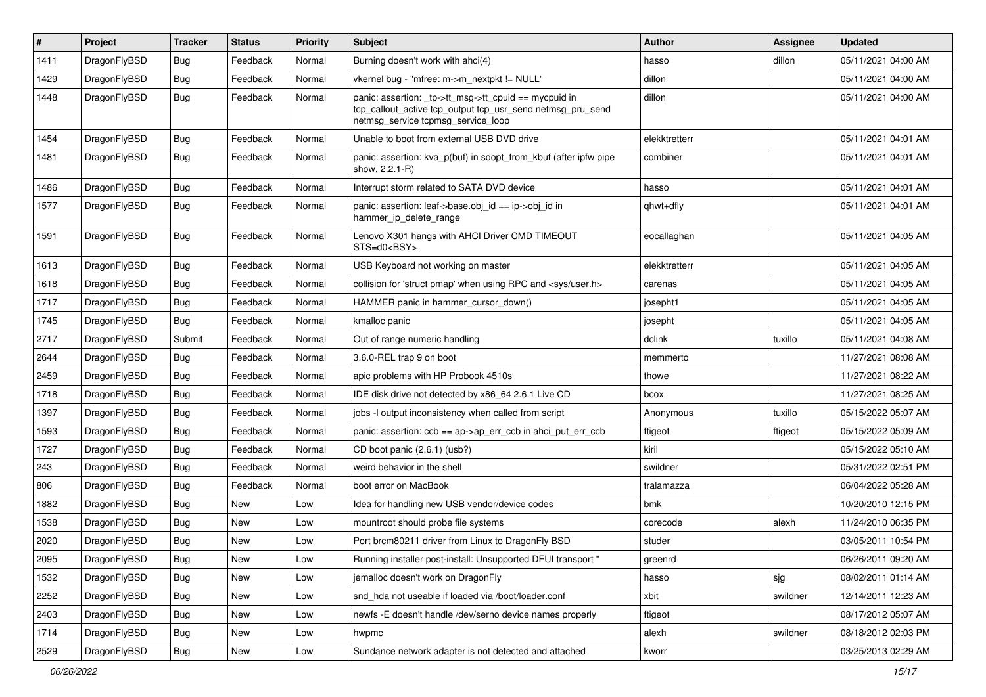| $\sharp$ | Project      | <b>Tracker</b> | <b>Status</b> | <b>Priority</b> | Subject                                                                                                                                                   | Author        | Assignee | <b>Updated</b>      |
|----------|--------------|----------------|---------------|-----------------|-----------------------------------------------------------------------------------------------------------------------------------------------------------|---------------|----------|---------------------|
| 1411     | DragonFlyBSD | <b>Bug</b>     | Feedback      | Normal          | Burning doesn't work with ahci(4)                                                                                                                         | hasso         | dillon   | 05/11/2021 04:00 AM |
| 1429     | DragonFlyBSD | <b>Bug</b>     | Feedback      | Normal          | vkernel bug - "mfree: m->m_nextpkt != NULL"                                                                                                               | dillon        |          | 05/11/2021 04:00 AM |
| 1448     | DragonFlyBSD | <b>Bug</b>     | Feedback      | Normal          | panic: assertion: _tp->tt_msg->tt_cpuid == mycpuid in<br>tcp_callout_active tcp_output tcp_usr_send netmsg_pru_send<br>netmsg_service tcpmsg_service_loop | dillon        |          | 05/11/2021 04:00 AM |
| 1454     | DragonFlyBSD | <b>Bug</b>     | Feedback      | Normal          | Unable to boot from external USB DVD drive                                                                                                                | elekktretterr |          | 05/11/2021 04:01 AM |
| 1481     | DragonFlyBSD | <b>Bug</b>     | Feedback      | Normal          | panic: assertion: kva_p(buf) in soopt_from_kbuf (after ipfw pipe<br>show, 2.2.1-R)                                                                        | combiner      |          | 05/11/2021 04:01 AM |
| 1486     | DragonFlyBSD | <b>Bug</b>     | Feedback      | Normal          | Interrupt storm related to SATA DVD device                                                                                                                | hasso         |          | 05/11/2021 04:01 AM |
| 1577     | DragonFlyBSD | <b>Bug</b>     | Feedback      | Normal          | panic: assertion: leaf->base.obj_id == ip->obj_id in<br>hammer_ip_delete_range                                                                            | qhwt+dfly     |          | 05/11/2021 04:01 AM |
| 1591     | DragonFlyBSD | <b>Bug</b>     | Feedback      | Normal          | Lenovo X301 hangs with AHCI Driver CMD TIMEOUT<br>STS=d0 <bsy></bsy>                                                                                      | eocallaghan   |          | 05/11/2021 04:05 AM |
| 1613     | DragonFlyBSD | <b>Bug</b>     | Feedback      | Normal          | USB Keyboard not working on master                                                                                                                        | elekktretterr |          | 05/11/2021 04:05 AM |
| 1618     | DragonFlyBSD | Bug            | Feedback      | Normal          | collision for 'struct pmap' when using RPC and <sys user.h=""></sys>                                                                                      | carenas       |          | 05/11/2021 04:05 AM |
| 1717     | DragonFlyBSD | Bug            | Feedback      | Normal          | HAMMER panic in hammer cursor down()                                                                                                                      | josepht1      |          | 05/11/2021 04:05 AM |
| 1745     | DragonFlyBSD | Bug            | Feedback      | Normal          | kmalloc panic                                                                                                                                             | josepht       |          | 05/11/2021 04:05 AM |
| 2717     | DragonFlyBSD | Submit         | Feedback      | Normal          | Out of range numeric handling                                                                                                                             | dclink        | tuxillo  | 05/11/2021 04:08 AM |
| 2644     | DragonFlyBSD | Bug            | Feedback      | Normal          | 3.6.0-REL trap 9 on boot                                                                                                                                  | memmerto      |          | 11/27/2021 08:08 AM |
| 2459     | DragonFlyBSD | Bug            | Feedback      | Normal          | apic problems with HP Probook 4510s                                                                                                                       | thowe         |          | 11/27/2021 08:22 AM |
| 1718     | DragonFlyBSD | Bug            | Feedback      | Normal          | IDE disk drive not detected by x86_64 2.6.1 Live CD                                                                                                       | bcox          |          | 11/27/2021 08:25 AM |
| 1397     | DragonFlyBSD | Bug            | Feedback      | Normal          | jobs -I output inconsistency when called from script                                                                                                      | Anonymous     | tuxillo  | 05/15/2022 05:07 AM |
| 1593     | DragonFlyBSD | Bug            | Feedback      | Normal          | panic: assertion: ccb == ap->ap_err_ccb in ahci_put_err_ccb                                                                                               | ftigeot       | ftigeot  | 05/15/2022 05:09 AM |
| 1727     | DragonFlyBSD | Bug            | Feedback      | Normal          | CD boot panic (2.6.1) (usb?)                                                                                                                              | kiril         |          | 05/15/2022 05:10 AM |
| 243      | DragonFlyBSD | Bug            | Feedback      | Normal          | weird behavior in the shell                                                                                                                               | swildner      |          | 05/31/2022 02:51 PM |
| 806      | DragonFlyBSD | Bug            | Feedback      | Normal          | boot error on MacBook                                                                                                                                     | tralamazza    |          | 06/04/2022 05:28 AM |
| 1882     | DragonFlyBSD | Bug            | New           | Low             | Idea for handling new USB vendor/device codes                                                                                                             | bmk           |          | 10/20/2010 12:15 PM |
| 1538     | DragonFlyBSD | Bug            | New           | Low             | mountroot should probe file systems                                                                                                                       | corecode      | alexh    | 11/24/2010 06:35 PM |
| 2020     | DragonFlyBSD | <b>Bug</b>     | <b>New</b>    | Low             | Port brcm80211 driver from Linux to DragonFly BSD                                                                                                         | studer        |          | 03/05/2011 10:54 PM |
| 2095     | DragonFlyBSD | <b>Bug</b>     | New           | LOW             | Running installer post-install: Unsupported DFUI transport "                                                                                              | greenrd       |          | 06/26/2011 09:20 AM |
| 1532     | DragonFlyBSD | <b>Bug</b>     | New           | Low             | jemalloc doesn't work on DragonFly                                                                                                                        | hasso         | sig      | 08/02/2011 01:14 AM |
| 2252     | DragonFlyBSD | <b>Bug</b>     | <b>New</b>    | Low             | snd_hda not useable if loaded via /boot/loader.conf                                                                                                       | xbit          | swildner | 12/14/2011 12:23 AM |
| 2403     | DragonFlyBSD | <b>Bug</b>     | New           | Low             | newfs -E doesn't handle /dev/serno device names properly                                                                                                  | ftigeot       |          | 08/17/2012 05:07 AM |
| 1714     | DragonFlyBSD | <b>Bug</b>     | New           | Low             | hwpmc                                                                                                                                                     | alexh         | swildner | 08/18/2012 02:03 PM |
| 2529     | DragonFlyBSD | <b>Bug</b>     | New           | Low             | Sundance network adapter is not detected and attached                                                                                                     | kworr         |          | 03/25/2013 02:29 AM |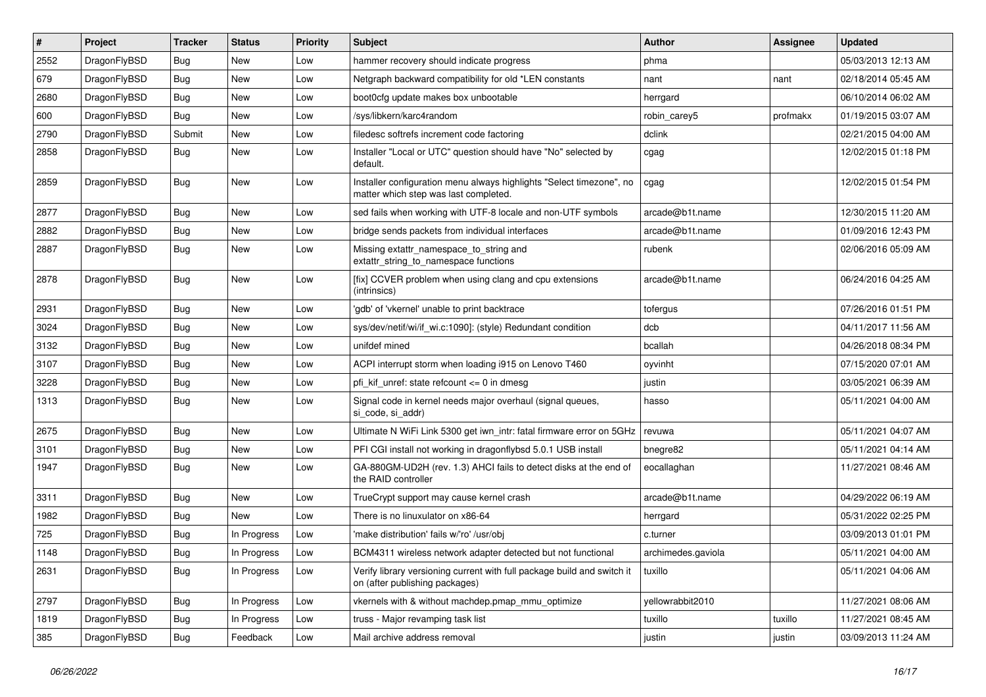| #    | Project      | <b>Tracker</b> | <b>Status</b> | <b>Priority</b> | Subject                                                                                                       | <b>Author</b>      | Assignee | <b>Updated</b>      |
|------|--------------|----------------|---------------|-----------------|---------------------------------------------------------------------------------------------------------------|--------------------|----------|---------------------|
| 2552 | DragonFlyBSD | Bug            | <b>New</b>    | Low             | hammer recovery should indicate progress                                                                      | phma               |          | 05/03/2013 12:13 AM |
| 679  | DragonFlyBSD | Bug            | <b>New</b>    | Low             | Netgraph backward compatibility for old *LEN constants                                                        | nant               | nant     | 02/18/2014 05:45 AM |
| 2680 | DragonFlyBSD | <b>Bug</b>     | New           | Low             | boot0cfg update makes box unbootable                                                                          | herrgard           |          | 06/10/2014 06:02 AM |
| 600  | DragonFlyBSD | Bug            | <b>New</b>    | Low             | /sys/libkern/karc4random                                                                                      | robin carey5       | profmakx | 01/19/2015 03:07 AM |
| 2790 | DragonFlyBSD | Submit         | <b>New</b>    | Low             | filedesc softrefs increment code factoring                                                                    | dclink             |          | 02/21/2015 04:00 AM |
| 2858 | DragonFlyBSD | Bug            | <b>New</b>    | Low             | Installer "Local or UTC" question should have "No" selected by<br>default.                                    | cgag               |          | 12/02/2015 01:18 PM |
| 2859 | DragonFlyBSD | <b>Bug</b>     | <b>New</b>    | Low             | Installer configuration menu always highlights "Select timezone", no<br>matter which step was last completed. | cgag               |          | 12/02/2015 01:54 PM |
| 2877 | DragonFlyBSD | <b>Bug</b>     | <b>New</b>    | Low             | sed fails when working with UTF-8 locale and non-UTF symbols                                                  | arcade@b1t.name    |          | 12/30/2015 11:20 AM |
| 2882 | DragonFlyBSD | <b>Bug</b>     | <b>New</b>    | Low             | bridge sends packets from individual interfaces                                                               | arcade@b1t.name    |          | 01/09/2016 12:43 PM |
| 2887 | DragonFlyBSD | Bug            | New           | Low             | Missing extattr_namespace_to_string and<br>extattr string to namespace functions                              | rubenk             |          | 02/06/2016 05:09 AM |
| 2878 | DragonFlyBSD | Bug            | <b>New</b>    | Low             | [fix] CCVER problem when using clang and cpu extensions<br>(intrinsics)                                       | arcade@b1t.name    |          | 06/24/2016 04:25 AM |
| 2931 | DragonFlyBSD | <b>Bug</b>     | <b>New</b>    | Low             | 'gdb' of 'vkernel' unable to print backtrace                                                                  | tofergus           |          | 07/26/2016 01:51 PM |
| 3024 | DragonFlyBSD | Bug            | <b>New</b>    | Low             | sys/dev/netif/wi/if_wi.c:1090]: (style) Redundant condition                                                   | dcb                |          | 04/11/2017 11:56 AM |
| 3132 | DragonFlyBSD | <b>Bug</b>     | <b>New</b>    | Low             | unifdef mined                                                                                                 | bcallah            |          | 04/26/2018 08:34 PM |
| 3107 | DragonFlyBSD | <b>Bug</b>     | <b>New</b>    | Low             | ACPI interrupt storm when loading i915 on Lenovo T460                                                         | oyvinht            |          | 07/15/2020 07:01 AM |
| 3228 | DragonFlyBSD | Bug            | <b>New</b>    | Low             | pfi kif unref: state refcount $\leq$ 0 in dmesg                                                               | justin             |          | 03/05/2021 06:39 AM |
| 1313 | DragonFlyBSD | Bug            | New           | Low             | Signal code in kernel needs major overhaul (signal queues,<br>si code, si addr)                               | hasso              |          | 05/11/2021 04:00 AM |
| 2675 | DragonFlyBSD | Bug            | <b>New</b>    | Low             | Ultimate N WiFi Link 5300 get iwn_intr: fatal firmware error on 5GHz                                          | revuwa             |          | 05/11/2021 04:07 AM |
| 3101 | DragonFlyBSD | <b>Bug</b>     | <b>New</b>    | Low             | PFI CGI install not working in dragonflybsd 5.0.1 USB install                                                 | bnegre82           |          | 05/11/2021 04:14 AM |
| 1947 | DragonFlyBSD | Bug            | <b>New</b>    | Low             | GA-880GM-UD2H (rev. 1.3) AHCI fails to detect disks at the end of<br>the RAID controller                      | eocallaghan        |          | 11/27/2021 08:46 AM |
| 3311 | DragonFlyBSD | <b>Bug</b>     | <b>New</b>    | Low             | TrueCrypt support may cause kernel crash                                                                      | arcade@b1t.name    |          | 04/29/2022 06:19 AM |
| 1982 | DragonFlyBSD | Bug            | <b>New</b>    | Low             | There is no linuxulator on x86-64                                                                             | herrgard           |          | 05/31/2022 02:25 PM |
| 725  | DragonFlyBSD | <b>Bug</b>     | In Progress   | Low             | 'make distribution' fails w/'ro' /usr/obj                                                                     | c.turner           |          | 03/09/2013 01:01 PM |
| 1148 | DragonFlyBSD | <b>Bug</b>     | In Progress   | Low             | BCM4311 wireless network adapter detected but not functional                                                  | archimedes.gaviola |          | 05/11/2021 04:00 AM |
| 2631 | DragonFlyBSD | <b>Bug</b>     | In Progress   | Low             | Verify library versioning current with full package build and switch it<br>on (after publishing packages)     | tuxillo            |          | 05/11/2021 04:06 AM |
| 2797 | DragonFlyBSD | Bug            | In Progress   | Low             | vkernels with & without machdep.pmap_mmu_optimize                                                             | yellowrabbit2010   |          | 11/27/2021 08:06 AM |
| 1819 | DragonFlyBSD | <b>Bug</b>     | In Progress   | Low             | truss - Major revamping task list                                                                             | tuxillo            | tuxillo  | 11/27/2021 08:45 AM |
| 385  | DragonFlyBSD | <b>Bug</b>     | Feedback      | Low             | Mail archive address removal                                                                                  | justin             | justin   | 03/09/2013 11:24 AM |